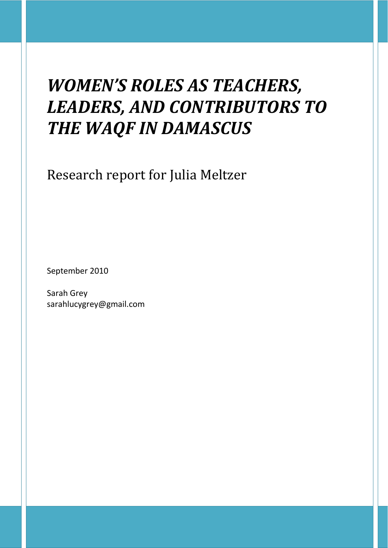# *WOMEN'S ROLES AS TEACHERS, LEADERS, AND CONTRIBUTORS TO THE WAQF IN DAMASCUS*

Research report for Julia Meltzer

September 2010

Sarah Grey sarahlucygrey@gmail.com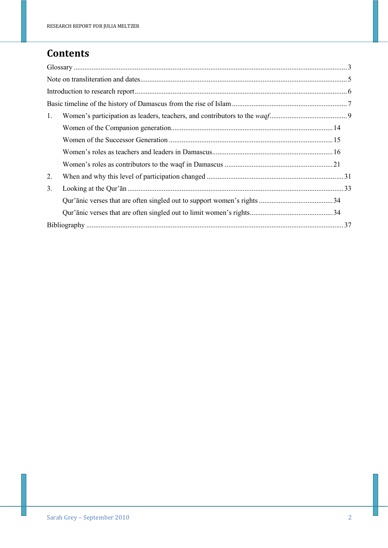# **Contents**

| 1. |  |
|----|--|
|    |  |
|    |  |
|    |  |
|    |  |
| 2. |  |
| 3. |  |
|    |  |
|    |  |
|    |  |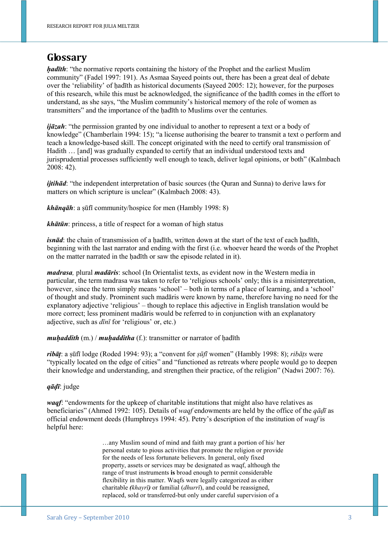# **Glossary**

*hadīth*: "the normative reports containing the history of the Prophet and the earliest Muslim community" (Fadel 1997: 191). As Asmaa Sayeed points out, there has been a great deal of debate over the 'reliability' of hadīth as historical documents (Sayeed 2005: 12); however, for the purposes of this research, while this must be acknowledged, the significance of the ḥadīth comes in the effort to understand, as she says, "the Muslim community's historical memory of the role of women as transmitters" and the importance of the hadīth to Muslims over the centuries.

*ijāzah*: "the permission granted by one individual to another to represent a text or a body of knowledge" (Chamberlain 1994: 15); "a license authorising the bearer to transmit a text o perform and teach a knowledge-based skill. The concept originated with the need to certify oral transmission of Hadith … [and] was gradually expanded to certify that an individual understood texts and jurisprudential processes sufficiently well enough to teach, deliver legal opinions, or both" (Kalmbach 2008: 42).

*ijtihād*: "the independent interpretation of basic sources (the Ouran and Sunna) to derive laws for matters on which scripture is unclear" (Kalmbach 2008: 43).

*khānqāh*: a ṣūfī community/hospice for men (Hambly 1998: 8)

*khātūn*: princess, a title of respect for a woman of high status

*isnād*: the chain of transmission of a hadīth, written down at the start of the text of each hadīth, beginning with the last narrator and ending with the first (i.e. whoever heard the words of the Prophet on the matter narrated in the hadīth or saw the episode related in it).

*madrasa,* plural *madāris*: school (In Orientalist texts, as evident now in the Western media in particular, the term madrasa was taken to refer to 'religious schools' only; this is a misinterpretation, however, since the term simply means 'school' – both in terms of a place of learning, and a 'school' of thought and study. Prominent such madāris were known by name, therefore having no need for the explanatory adjective 'religious' – though to replace this adjective in English translation would be more correct; less prominent madāris would be referred to in conjunction with an explanatory adjective, such as *dīnī* for 'religious' or, etc.)

#### *muḥaddith* (m.) / *muḥadditha* (f.): transmitter or narrator of ḥadīth

*ribāṭ*: a ṣūfī lodge (Roded 1994: 93); a "convent for *ṣūfī* women" (Hambly 1998: 8); *ribāṭs* were "typically located on the edge of cities" and "functioned as retreats where people would go to deepen their knowledge and understanding, and strengthen their practice, of the religion" (Nadwi 2007: 76).

#### *qāḍī*: judge

*waqf*: "endowments for the upkeep of charitable institutions that might also have relatives as beneficiaries" (Ahmed 1992: 105). Details of *waqf* endowments are held by the office of the *qāḍī* as official endowment deeds (Humphreys 1994: 45). Petry's description of the institution of *waqf* is helpful here:

> …any Muslim sound of mind and faith may grant a portion of his/ her personal estate to pious activities that promote the religion or provide for the needs of less fortunate believers. In general, only fixed property, assets or services may be designated as waqf, although the range of trust instruments **is** broad enough to permit considerable flexibility in this matter. Waqfs were legally categorized as either charitable *(khayrī)* or familial (*dhurrī*), and could be reassigned, replaced, sold or transferred-but only under careful supervision of a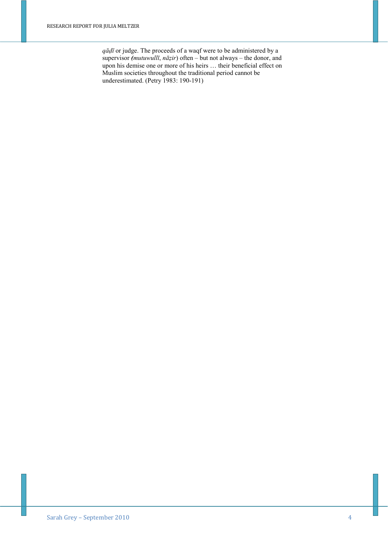*qāḍī* or judge. The proceeds of a waqf were to be administered by a supervisor *(mutuwullī*, *nāẓir*) often – but not always – the donor, and upon his demise one or more of his heirs … their beneficial effect on Muslim societies throughout the traditional period cannot be underestimated. (Petry 1983: 190-191)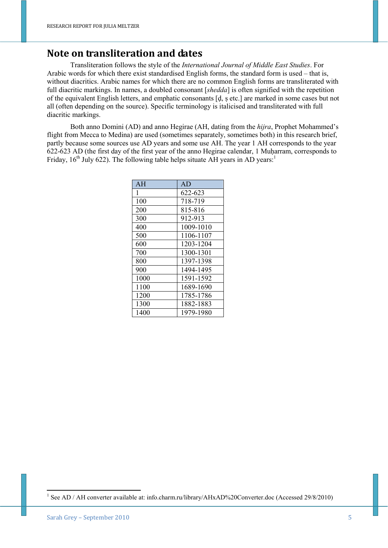### **Note on transliteration and dates**

Transliteration follows the style of the *International Journal of Middle East Studies*. For Arabic words for which there exist standardised English forms, the standard form is used – that is, without diacritics. Arabic names for which there are no common English forms are transliterated with full diacritic markings. In names, a doubled consonant [*shedda*] is often signified with the repetition of the equivalent English letters, and emphatic consonants [ḍ, ṣ etc.] are marked in some cases but not all (often depending on the source). Specific terminology is italicised and transliterated with full diacritic markings.

Both anno Domini (AD) and anno Hegirae (AH, dating from the *hijra*, Prophet Mohammed's flight from Mecca to Medina) are used (sometimes separately, sometimes both) in this research brief, partly because some sources use AD years and some use AH. The year 1 AH corresponds to the year 622-623 AD (the first day of the first year of the anno Hegirae calendar, 1 Muḥarram, corresponds to Friday,  $16<sup>th</sup>$  July 622). The following table helps situate AH years in AD years:<sup>1</sup>

| AH   | AD        |
|------|-----------|
| 1    | 622-623   |
| 100  | 718-719   |
| 200  | 815-816   |
| 300  | 912-913   |
| 400  | 1009-1010 |
| 500  | 1106-1107 |
| 600  | 1203-1204 |
| 700  | 1300-1301 |
| 800  | 1397-1398 |
| 900  | 1494-1495 |
| 1000 | 1591-1592 |
| 1100 | 1689-1690 |
| 1200 | 1785-1786 |
| 1300 | 1882-1883 |
| 1400 | 1979-1980 |

<sup>&</sup>lt;sup>1</sup> See AD / AH converter available at: info.charm.ru/library/AHxAD%20Converter.doc (Accessed 29/8/2010)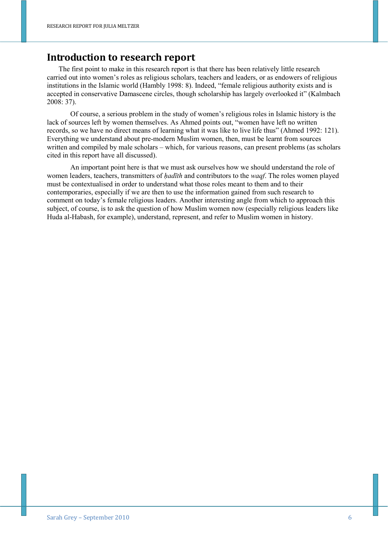### **Introduction to research report**

The first point to make in this research report is that there has been relatively little research carried out into women's roles as religious scholars, teachers and leaders, or as endowers of religious institutions in the Islamic world (Hambly 1998: 8). Indeed, "female religious authority exists and is accepted in conservative Damascene circles, though scholarship has largely overlooked it" (Kalmbach 2008: 37).

Of course, a serious problem in the study of women's religious roles in Islamic history is the lack of sources left by women themselves. As Ahmed points out, "women have left no written records, so we have no direct means of learning what it was like to live life thus" (Ahmed 1992: 121). Everything we understand about pre-modern Muslim women, then, must be learnt from sources written and compiled by male scholars – which, for various reasons, can present problems (as scholars cited in this report have all discussed).

An important point here is that we must ask ourselves how we should understand the role of women leaders, teachers, transmitters of *hadīth* and contributors to the *waqf*. The roles women played must be contextualised in order to understand what those roles meant to them and to their contemporaries, especially if we are then to use the information gained from such research to comment on today's female religious leaders. Another interesting angle from which to approach this subject, of course, is to ask the question of how Muslim women now (especially religious leaders like Huda al-Habash, for example), understand, represent, and refer to Muslim women in history.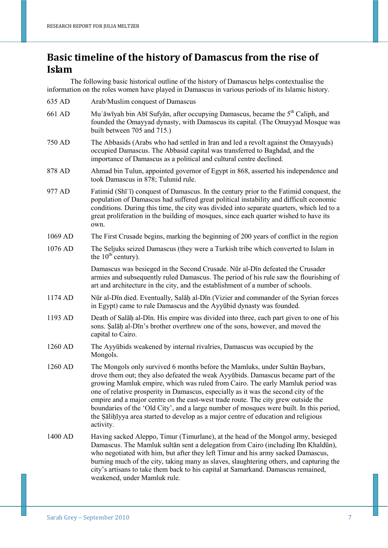# **Basic timeline of the history of Damascus from the rise of Islam**

The following basic historical outline of the history of Damascus helps contextualise the information on the roles women have played in Damascus in various periods of its Islamic history.

- 635 AD Arab/Muslim conquest of Damascus
- 661 AD Muʿāwīyah bin Abī Sufyān, after occupying Damascus, became the  $5<sup>th</sup>$  Caliph, and founded the Omayyad dynasty, with Damascus its capital. (The Omayyad Mosque was built between 705 and 715.)
- 750 AD The Abbasids (Arabs who had settled in Iran and led a revolt against the Omayyads) occupied Damascus. The Abbasid capital was transferred to Baghdad, and the importance of Damascus as a political and cultural centre declined.
- 878 AD Ahmad bin Tulun, appointed governor of Egypt in 868, asserted his independence and took Damascus in 878; Tulunid rule.
- 977 AD Fatimid  $(Sh\bar{i})$  conquest of Damascus. In the century prior to the Fatimid conquest, the population of Damascus had suffered great political instability and difficult economic conditions. During this time, the city was divided into separate quarters, which led to a great proliferation in the building of mosques, since each quarter wished to have its own.
- 1069 AD The First Crusade begins, marking the beginning of 200 years of conflict in the region
- 1076 AD The Seljuks seized Damascus (they were a Turkish tribe which converted to Islam in the  $10^{th}$  century).

 Damascus was besieged in the Second Crusade. Nūr al-Dīn defeated the Crusader armies and subsequently ruled Damascus. The period of his rule saw the flourishing of art and architecture in the city, and the establishment of a number of schools.

- 1174 AD Nūr al-Dīn died. Eventually, Salāḥ al-Dīn (Vizier and commander of the Syrian forces in Egypt) came to rule Damascus and the Ayyūbid dynasty was founded.
- 1193 AD Death of Salāḥ al-Dīn. His empire was divided into three, each part given to one of his sons. Salāh al-Dīn's brother overthrew one of the sons, however, and moved the capital to Cairo.
- 1260 AD The Ayyūbids weakened by internal rivalries, Damascus was occupied by the Mongols.
- 1260 AD The Mongols only survived 6 months before the Mamluks, under Sultān Baybars, drove them out; they also defeated the weak Ayyūbids. Damascus became part of the growing Mamluk empire, which was ruled from Cairo. The early Mamluk period was one of relative prosperity in Damascus, especially as it was the second city of the empire and a major centre on the east-west trade route. The city grew outside the boundaries of the 'Old City', and a large number of mosques were built. In this period, the Ṣāliḥīyya area started to develop as a major centre of education and religious activity.
- 1400 AD Having sacked Aleppo, Timur (Timurlane), at the head of the Mongol army, besieged Damascus. The Mamluk sultān sent a delegation from Cairo (including Ibn Khaldūn), who negotiated with him, but after they left Timur and his army sacked Damascus, burning much of the city, taking many as slaves, slaughtering others, and capturing the city's artisans to take them back to his capital at Samarkand. Damascus remained, weakened, under Mamluk rule.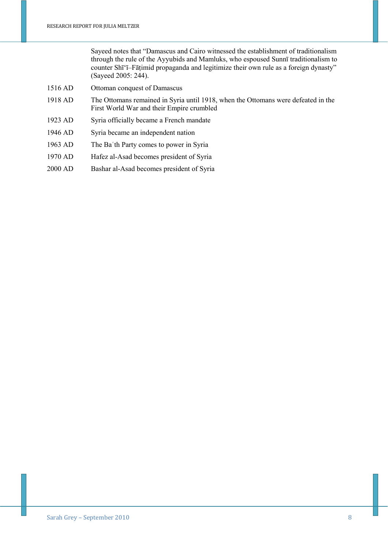Sayeed notes that "Damascus and Cairo witnessed the establishment of traditionalism through the rule of the Ayyubids and Mamluks, who espoused Sunnī traditionalism to counter Shī'ī–Fāṭimid propaganda and legitimize their own rule as a foreign dynasty" (Sayeed 2005: 244).

- 1516 AD Ottoman conquest of Damascus
- 1918 AD The Ottomans remained in Syria until 1918, when the Ottomans were defeated in the First World War and their Empire crumbled
- 1923 AD Syria officially became a French mandate
- 1946 AD Syria became an independent nation
- 1963 AD The Baʿth Party comes to power in Syria
- 1970 AD Hafez al-Asad becomes president of Syria
- 2000 AD Bashar al-Asad becomes president of Syria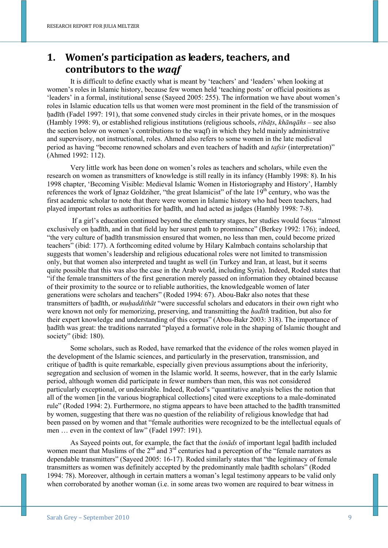# **1. Women's participation as leaders, teachers, and contributors to the** *waqf*

It is difficult to define exactly what is meant by 'teachers' and 'leaders' when looking at women's roles in Islamic history, because few women held 'teaching posts' or official positions as 'leaders' in a formal, institutional sense (Sayeed 2005: 255). The information we have about women's roles in Islamic education tells us that women were most prominent in the field of the transmission of hadīth (Fadel 1997: 191), that some convened study circles in their private homes, or in the mosques (Hambly 1998: 9), or established religious institutions (religious schools, *ribāṭs*, *khānqāhs* – see also the section below on women's contributions to the waqf) in which they held mainly administrative and supervisory, not instructional, roles. Ahmed also refers to some women in the late medieval period as having "become renowned scholars and even teachers of hadith and *tafsir* (interpretation)" (Ahmed 1992: 112).

Very little work has been done on women's roles as teachers and scholars, while even the research on women as transmitters of knowledge is still really in its infancy (Hambly 1998: 8). In his 1998 chapter, 'Becoming Visible: Medieval Islamic Women in Historiography and History', Hambly references the work of Ignaz Goldziher, "the great Islamicist" of the late  $19<sup>th</sup>$  century, who was the first academic scholar to note that there were women in Islamic history who had been teachers, had played important roles as authorities for ḥadīth, and had acted as judges (Hambly 1998: 7-8).

 If a girl's education continued beyond the elementary stages, her studies would focus "almost exclusively on hadīth, and in that field lay her surest path to prominence" (Berkey 1992: 176); indeed, "the very culture of hadīth transmission ensured that women, no less than men, could become prized teachers" (ibid: 177). A forthcoming edited volume by Hilary Kalmbach contains scholarship that suggests that women's leadership and religious educational roles were not limited to transmission only, but that women also interpreted and taught as well (in Turkey and Iran, at least, but it seems quite possible that this was also the case in the Arab world, including Syria). Indeed, Roded states that "if the female transmitters of the first generation merely passed on information they obtained because of their proximity to the source or to reliable authorities, the knowledgeable women of later generations were scholars and teachers" (Roded 1994: 67). Abou-Bakr also notes that these transmitters of ḥadīth, or *muḥaddithāt* "were successful scholars and educators in their own right who were known not only for memorizing, preserving, and transmitting the *hadīth* tradition, but also for their expert knowledge and understanding of this corpus" (Abou-Bakr 2003: 318). The importance of hadīth was great: the traditions narrated "played a formative role in the shaping of Islamic thought and society" (ibid: 180).

Some scholars, such as Roded, have remarked that the evidence of the roles women played in the development of the Islamic sciences, and particularly in the preservation, transmission, and critique of ḥadīth is quite remarkable, especially given previous assumptions about the inferiority, segregation and seclusion of women in the Islamic world. It seems, however, that in the early Islamic period, although women did participate in fewer numbers than men, this was not considered particularly exceptional, or undesirable. Indeed, Roded's "quantitative analysis belies the notion that all of the women [in the various biographical collections] cited were exceptions to a male-dominated rule" (Roded 1994: 2). Furthermore, no stigma appears to have been attached to the hadīth transmitted by women, suggesting that there was no question of the reliability of religious knowledge that had been passed on by women and that "female authorities were recognized to be the intellectual equals of men … even in the context of law" (Fadel 1997: 191).

As Sayeed points out, for example, the fact that the *isnāds* of important legal ḥadīth included women meant that Muslims of the  $2<sup>nd</sup>$  and  $3<sup>rd</sup>$  centuries had a perception of the "female narrators as dependable transmitters" (Sayeed 2005: 16-17). Roded similarly states that "the legitimacy of female transmitters as women was definitely accepted by the predominantly male ḥadīth scholars" (Roded 1994: 78). Moreover, although in certain matters a woman's legal testimony appears to be valid only when corroborated by another woman (i.e. in some areas two women are required to bear witness in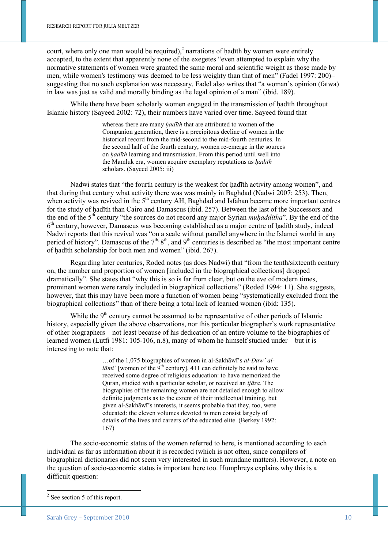court, where only one man would be required), $\lambda^2$  narrations of hadith by women were entirely accepted, to the extent that apparently none of the exegetes "even attempted to explain why the normative statements of women were granted the same moral and scientific weight as those made by men, while women's testimony was deemed to be less weighty than that of men" (Fadel 1997: 200)– suggesting that no such explanation was necessary. Fadel also writes that "a woman's opinion (fatwa) in law was just as valid and morally binding as the legal opinion of a man" (ibid. 189).

While there have been scholarly women engaged in the transmission of hadīth throughout Islamic history (Sayeed 2002: 72), their numbers have varied over time. Sayeed found that

> whereas there are many *ḥadīth* that are attributed to women of the Companion generation, there is a precipitous decline of women in the historical record from the mid-second to the mid-fourth centuries. In the second half of the fourth century, women re-emerge in the sources on *ḥadīth* learning and transmission. From this period until well into the Mamluk era, women acquire exemplary reputations as *ḥadīth*  scholars. (Sayeed 2005: iii)

Nadwi states that "the fourth century is the weakest for hadīth activity among women", and that during that century what activity there was was mainly in Baghdad (Nadwi 2007: 253). Then, when activity was revived in the  $5<sup>th</sup>$  century AH, Baghdad and Isfahan became more important centres for the study of hadīth than Cairo and Damascus (ibid. 257). Between the last of the Successors and the end of the 5<sup>th</sup> century "the sources do not record any major Syrian *muhadditha*". By the end of the 6<sup>th</sup> century, however, Damascus was becoming established as a major centre of hadīth study, indeed Nadwi reports that this revival was "on a scale without parallel anywhere in the Islamci world in any period of history". Damascus of the  $7<sup>th</sup>$ ,  $8<sup>th</sup>$ , and  $9<sup>th</sup>$  centuries is described as "the most important centre of hadīth scholarship for both men and women" (ibid. 267).

Regarding later centuries, Roded notes (as does Nadwi) that "from the tenth/sixteenth century on, the number and proportion of women [included in the biographical collections] dropped dramatically". She states that "why this is so is far from clear, but on the eve of modern times, prominent women were rarely included in biographical collections" (Roded 1994: 11). She suggests, however, that this may have been more a function of women being "systematically excluded from the biographical collections" than of there being a total lack of learned women (ibid: 135).

While the  $9<sup>th</sup>$  century cannot be assumed to be representative of other periods of Islamic history, especially given the above observations, nor this particular biographer's work representative of other biographers – not least because of his dedication of an entire volume to the biographies of learned women (Lutfi 1981: 105-106, n.8), many of whom he himself studied under – but it is interesting to note that:

> …of the 1,075 biographies of women in al-Sakhāwī's *al-Ḍaw' al* $l\bar{a}mi$  [women of the 9<sup>th</sup> century], 411 can definitely be said to have received some degree of religious education: to have memorized the Quran, studied with a particular scholar, or received an *ijāza*. The biographies of the remaining women are not detailed enough to allow definite judgments as to the extent of their intellectual training, but given al-Sakhāwī's interests, it seems probable that they, too, were educated: the eleven volumes devoted to men consist largely of details of the lives and careers of the educated elite. (Berkey 1992: 167)

The socio-economic status of the women referred to here, is mentioned according to each individual as far as information about it is recorded (which is not often, since compilers of biographical dictionaries did not seem very interested in such mundane matters). However, a note on the question of socio-economic status is important here too. Humphreys explains why this is a difficult question:

<sup>&</sup>lt;sup>2</sup> See section 5 of this report.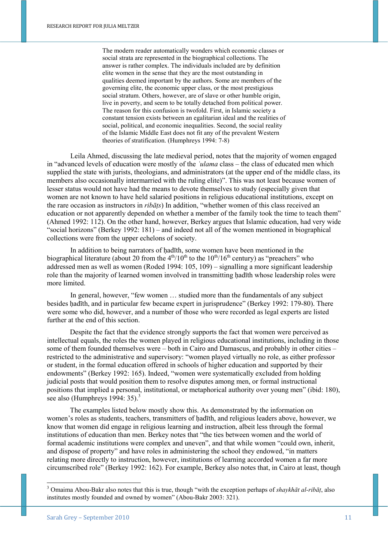The modern reader automatically wonders which economic classes or social strata are represented in the biographical collections. The answer is rather complex. The individuals included are by definition elite women in the sense that they are the most outstanding in qualities deemed important by the authors. Some are members of the governing elite, the economic upper class, or the most prestigious social stratum. Others, however, are of slave or other humble origin, live in poverty, and seem to be totally detached from political power. The reason for this confusion is twofold. First, in Islamic society a constant tension exists between an egalitarian ideal and the realities of social, political, and economic inequalities. Second, the social reality of the Islamic Middle East does not fit any of the prevalent Western theories of stratification. (Humphreys 1994: 7-8)

Leila Ahmed, discussing the late medieval period, notes that the majority of women engaged in "advanced levels of education were mostly of the *ʿulama* class – the class of educated men which supplied the state with jurists, theologians, and administrators (at the upper end of the middle class, its members also occasionally intermarried with the ruling elite)". This was not least because women of lesser status would not have had the means to devote themselves to study (especially given that women are not known to have held salaried positions in religious educational institutions, except on the rare occasion as instructors in *ribāṭs*) In addition, "whether women of this class received an education or not apparently depended on whether a member of the family took the time to teach them" (Ahmed 1992: 112). On the other hand, however, Berkey argues that Islamic education, had very wide "social horizons" (Berkey 1992: 181) – and indeed not all of the women mentioned in biographical collections were from the upper echelons of society.

In addition to being narrators of hadīth, some women have been mentioned in the biographical literature (about 20 from the  $4<sup>th</sup>/10<sup>th</sup>$  to the  $10<sup>th</sup>/16<sup>th</sup>$  century) as "preachers" who addressed men as well as women (Roded 1994: 105, 109) – signalling a more significant leadership role than the majority of learned women involved in transmitting hadīth whose leadership roles were more limited.

In general, however, "few women … studied more than the fundamentals of any subject besides hadīth, and in particular few became expert in jurisprudence" (Berkey 1992: 179-80). There were some who did, however, and a number of those who were recorded as legal experts are listed further at the end of this section.

Despite the fact that the evidence strongly supports the fact that women were perceived as intellectual equals, the roles the women played in religious educational institutions, including in those some of them founded themselves were – both in Cairo and Damascus, and probably in other cities – restricted to the administrative and supervisory: "women played virtually no role, as either professor or student, in the formal education offered in schools of higher education and supported by their endowments" (Berkey 1992: 165). Indeed, "women were systematically excluded from holding judicial posts that would position them to resolve disputes among men, or formal instructional positions that implied a personal, institutional, or metaphorical authority over young men" (ibid: 180), see also (Humphreys  $1994:35$ ).<sup>3</sup>

The examples listed below mostly show this. As demonstrated by the information on women's roles as students, teachers, transmitters of hadīth, and religious leaders above, however, we know that women did engage in religious learning and instruction, albeit less through the formal institutions of education than men. Berkey notes that "the ties between women and the world of formal academic institutions were complex and uneven", and that while women "could own, inherit, and dispose of property" and have roles in administering the school they endowed, "in matters relating more directly to instruction, however, institutions of learning accorded women a far more circumscribed role" (Berkey 1992: 162). For example, Berkey also notes that, in Cairo at least, though

 3 Omaima Abou-Bakr also notes that this is true, though "with the exception perhaps of *shaykhāt al-ribāṭ*, also institutes mostly founded and owned by women" (Abou-Bakr 2003: 321).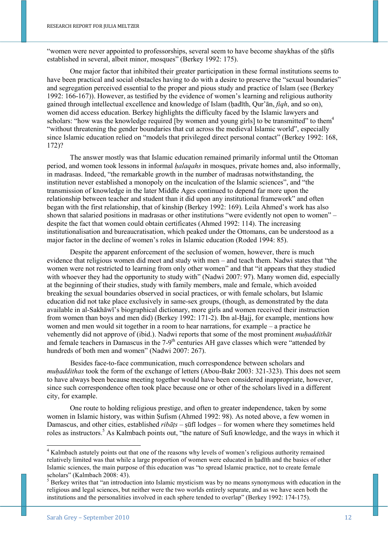"women were never appointed to professorships, several seem to have become shaykhas of the ṣūfīs established in several, albeit minor, mosques" (Berkey 1992: 175).

One major factor that inhibited their greater participation in these formal institutions seems to have been practical and social obstacles having to do with a desire to preserve the "sexual boundaries" and segregation perceived essential to the proper and pious study and practice of Islam (see (Berkey 1992: 166-167)). However, as testified by the evidence of women's learning and religious authority gained through intellectual excellence and knowledge of Islam (ḥadīth, Qur'ān, *fiqh*, and so on), women did access education. Berkey highlights the difficulty faced by the Islamic lawyers and scholars: "how was the knowledge required [by women and young girls] to be transmitted" to them<sup>4</sup> "without threatening the gender boundaries that cut across the medieval Islamic world", especially since Islamic education relied on "models that privileged direct personal contact" (Berkey 1992: 168, 172)?

The answer mostly was that Islamic education remained primarily informal until the Ottoman period, and women took lessons in informal *ḥalaqahs* in mosques, private homes and, also informally, in madrasas. Indeed, "the remarkable growth in the number of madrasas notwithstanding, the institution never established a monopoly on the inculcation of the Islamic sciences", and "the transmission of knowledge in the later Middle Ages continued to depend far more upon the relationship between teacher and student than it did upon any institutional framework" and often began with the first relationship, that of kinship (Berkey 1992: 169). Leila Ahmed's work has also shown that salaried positions in madrasas or other institutions "were evidently not open to women" – despite the fact that women could obtain certificates (Ahmed 1992: 114). The increasing institutionalisation and bureaucratisation, which peaked under the Ottomans, can be understood as a major factor in the decline of women's roles in Islamic education (Roded 1994: 85).

Despite the apparent enforcement of the seclusion of women, however, there is much evidence that religious women did meet and study with men – and teach them. Nadwi states that "the women were not restricted to learning from only other women" and that "it appears that they studied with whoever they had the opportunity to study with" (Nadwi 2007: 97). Many women did, especially at the beginning of their studies, study with family members, male and female, which avoided breaking the sexual boundaries observed in social practices, or with female scholars, but Islamic education did not take place exclusively in same-sex groups, (though, as demonstrated by the data available in al-Sakhāwī's biographical dictionary, more girls and women received their instruction from women than boys and men did) (Berkey 1992: 171-2). Ibn al-Ḥajj, for example, mentions how women and men would sit together in a room to hear narrations, for example – a practice he vehemently did not approve of (ibid.). Nadwi reports that some of the most prominent *muhaddithat* and female teachers in Damascus in the 7-9<sup>th</sup> centuries AH gave classes which were "attended by hundreds of both men and women" (Nadwi 2007: 267).

Besides face-to-face communication, much correspondence between scholars and *muḥaddithas* took the form of the exchange of letters (Abou-Bakr 2003: 321-323). This does not seem to have always been because meeting together would have been considered inappropriate, however, since such correspondence often took place because one or other of the scholars lived in a different city, for example.

One route to holding religious prestige, and often to greater independence, taken by some women in Islamic history, was within Ṣufism (Ahmed 1992: 98). As noted above, a few women in Damascus, and other cities, established *ribāṭs* – ṣūfī lodges – for women where they sometimes held roles as instructors.<sup>5</sup> As Kalmbach points out, "the nature of Sufi knowledge, and the ways in which it

<sup>&</sup>lt;sup>4</sup> Kalmbach astutely points out that one of the reasons why levels of women's religious authority remained relatively limited was that while a large proportion of women were educated in hadīth and the basics of other Islamic sciences, the main purpose of this education was "to spread Islamic practice, not to create female scholars" (Kalmbach 2008: 43).

<sup>&</sup>lt;sup>5</sup> Berkey writes that "an introduction into Islamic mysticism was by no means synonymous with education in the religious and legal sciences, but neither were the two worlds entirely separate, and as we have seen both the institutions and the personalities involved in each sphere tended to overlap" (Berkey 1992: 174-175).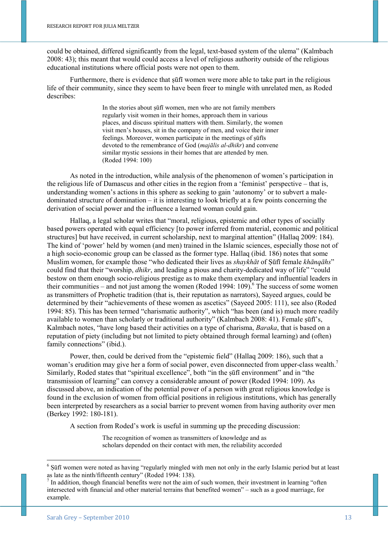could be obtained, differed significantly from the legal, text-based system of the ulema" (Kalmbach 2008: 43); this meant that would could access a level of religious authority outside of the religious educational institutions where official posts were not open to them.

Furthermore, there is evidence that suffi women were more able to take part in the religious life of their community, since they seem to have been freer to mingle with unrelated men, as Roded describes:

> In the stories about sūfī women, men who are not family members regularly visit women in their homes, approach them in various places, and discuss spiritual matters with them. Similarly, the women visit men's houses, sit in the company of men, and voice their inner feelings. Moreover, women participate in the meetings of ṣūfīs devoted to the remembrance of God (*majālis al-dhikr*) and convene similar mystic sessions in their homes that are attended by men. (Roded 1994: 100)

As noted in the introduction, while analysis of the phenomenon of women's participation in the religious life of Damascus and other cities in the region from a 'feminist' perspective – that is, understanding women's actions in this sphere as seeking to gain 'autonomy' or to subvert a maledominated structure of domination – it is interesting to look briefly at a few points concerning the derivation of social power and the influence a learned woman could gain.

Hallaq, a legal scholar writes that "moral, religious, epistemic and other types of socially based powers operated with equal efficiency [to power inferred from material, economic and political structures] but have received, in current scholarship, next to marginal attention" (Hallaq 2009: 184). The kind of 'power' held by women (and men) trained in the Islamic sciences, especially those not of a high socio-economic group can be classed as the former type. Hallaq (ibid. 186) notes that some Muslim women, for example those "who dedicated their lives as *shaykhāt* of Ṣūfī female *khānqāhs*" could find that their "worship, *dhikr*, and leading a pious and charity-dedicated way of life" "could bestow on them enough socio-religious prestige as to make them exemplary and influential leaders in their communities – and not just among the women (Roded 1994: 109).<sup>6</sup> The success of some women as transmitters of Prophetic tradition (that is, their reputation as narrators), Sayeed argues, could be determined by their "achievements of these women as ascetics" (Sayeed 2005: 111), see also (Roded 1994: 85). This has been termed "charismatic authority", which "has been (and is) much more readily available to women than scholarly or traditional authority" (Kalmbach 2008: 41). Female sūfī's, Kalmbach notes, "have long based their activities on a type of charisma, *Baraka*, that is based on a reputation of piety (including but not limited to piety obtained through formal learning) and (often) family connections" (ibid.).

Power, then, could be derived from the "epistemic field" (Hallaq 2009: 186), such that a woman's erudition may give her a form of social power, even disconnected from upper-class wealth.<sup>7</sup> Similarly, Roded states that "spiritual excellence", both "in the ṣūfī environment" and in "the transmission of learning" can convey a considerable amount of power (Roded 1994: 109). As discussed above, an indication of the potential power of a person with great religious knowledge is found in the exclusion of women from official positions in religious institutions, which has generally been interpreted by researchers as a social barrier to prevent women from having authority over men (Berkey 1992: 180-181).

A section from Roded's work is useful in summing up the preceding discussion:

The recognition of women as transmitters of knowledge and as scholars depended on their contact with men, the reliability accorded

 $6$  Sūfī women were noted as having "regularly mingled with men not only in the early Islamic period but at least as late as the ninth/fifteenth century" (Roded 1994: 138).

In addition, though financial benefits were not the aim of such women, their investment in learning "often intersected with financial and other material terrains that benefited women" – such as a good marriage, for example.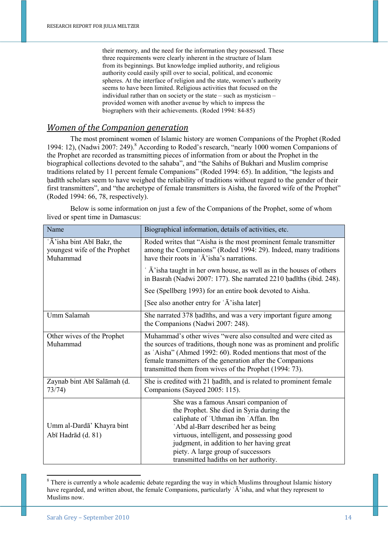their memory, and the need for the information they possessed. These three requirements were clearly inherent in the structure of Islam from its beginnings. But knowledge implied authority, and religious authority could easily spill over to social, political, and economic spheres. At the interface of religion and the state, women's authority seems to have been limited. Religious activities that focused on the individual rather than on society or the state – such as mysticism – provided women with another avenue by which to impress the biographers with their achievements. (Roded 1994: 84-85)

#### *Women of the Companion generation*

The most prominent women of Islamic history are women Companions of the Prophet (Roded 1994: 12), (Nadwi 2007: 249).<sup>8</sup> According to Roded's research, "nearly 1000 women Companions of the Prophet are recorded as transmitting pieces of information from or about the Prophet in the biographical collections devoted to the sahaba", and "the Sahihs of Bukhari and Muslim comprise traditions related by 11 percent female Companions" (Roded 1994: 65). In addition, "the legists and ḥadīth scholars seem to have weighed the reliability of traditions without regard to the gender of their first transmitters", and "the archetype of female transmitters is Aisha, the favored wife of the Prophet" (Roded 1994: 66, 78, respectively).

| Name                                                                    | Biographical information, details of activities, etc.                                                                                                                                                                                                                                                                                      |
|-------------------------------------------------------------------------|--------------------------------------------------------------------------------------------------------------------------------------------------------------------------------------------------------------------------------------------------------------------------------------------------------------------------------------------|
| 'Ā' isha bint Abī Bakr, the<br>youngest wife of the Prophet<br>Muhammad | Roded writes that "Aisha is the most prominent female transmitter<br>among the Companions" (Roded 1994: 29). Indeed, many traditions<br>have their roots in $\tilde{A}$ isha's narrations.                                                                                                                                                 |
|                                                                         | $\overline{A}$ 'isha taught in her own house, as well as in the houses of others<br>in Basrah (Nadwi 2007: 177). She narrated 2210 hadīths (ibid. 248).                                                                                                                                                                                    |
|                                                                         | See (Spellberg 1993) for an entire book devoted to Aisha.                                                                                                                                                                                                                                                                                  |
|                                                                         | [See also another entry for 'A' isha later]                                                                                                                                                                                                                                                                                                |
| Umm Salamah                                                             | She narrated 378 hadīths, and was a very important figure among<br>the Companions (Nadwi 2007: 248).                                                                                                                                                                                                                                       |
| Other wives of the Prophet<br>Muhammad                                  | Muhammad's other wives "were also consulted and were cited as<br>the sources of traditions, though none was as prominent and prolific<br>as 'Aisha" (Ahmed 1992: 60). Roded mentions that most of the<br>female transmitters of the generation after the Companions<br>transmitted them from wives of the Prophet (1994: 73).              |
| Zaynab bint Abī Salāmah (d.<br>73/74)                                   | She is credited with 21 hadīth, and is related to prominent female<br>Companions (Sayeed 2005: 115).                                                                                                                                                                                                                                       |
| Umm al-Dardā' Khayra bint<br>Abī Hadrād (d. 81)                         | She was a famous Ansari companion of<br>the Prophet. She died in Syria during the<br>caliphate of 'Uthman ibn 'Affan. Ibn<br>'Abd al-Barr described her as being<br>virtuous, intelligent, and possessing good<br>judgment, in addition to her having great<br>piety. A large group of successors<br>transmitted hadiths on her authority. |

Below is some information on just a few of the Companions of the Prophet, some of whom lived or spent time in Damascus:

1

 $8$  There is currently a whole academic debate regarding the way in which Muslims throughout Islamic history have regarded, and written about, the female Companions, particularly  $\hat{A}$  isha, and what they represent to Muslims now.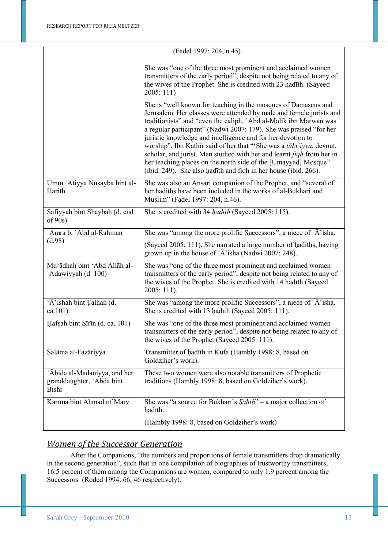|                                                                           | (Fadel 1997: 204, n.45)                                                                                                                                                                                                                                                                                                                                                                                                                                                                                                                                                                                                                |
|---------------------------------------------------------------------------|----------------------------------------------------------------------------------------------------------------------------------------------------------------------------------------------------------------------------------------------------------------------------------------------------------------------------------------------------------------------------------------------------------------------------------------------------------------------------------------------------------------------------------------------------------------------------------------------------------------------------------------|
|                                                                           | She was "one of the three most prominent and acclaimed women<br>transmitters of the early period", despite not being related to any of<br>the wives of the Prophet. She is credited with 23 hadīth. (Sayeed<br>2005:111)                                                                                                                                                                                                                                                                                                                                                                                                               |
|                                                                           | She is "well known for teaching in the mosques of Damascus and<br>Jerusalem. Her classes were attended by male and female jurists and<br>traditionists" and "even the caliph, 'Abd al-Malik ibn Marwān was<br>a regular participant" (Nadwi 2007: 179). She was praised "for her<br>juristic knowledge and intelligence and for her devotion to<br>worship". Ibn Kathīr said of her that "'She was a tābi 'iyya, devout,<br>scholar, and jurist. Men studied with her and learnt figh from her in<br>her teaching places on the north side of the [Umayyad] Mosque"<br>(ibid. 249). She also hadīth and figh in her house (ibid. 266). |
| Umm 'Atiyya Nusayba bint al-<br>Harith                                    | She was also an Ansari companion of the Prophet, and "several of<br>her hadiths have been included in the works of al-Bukhari and<br>Muslim" (Fadel 1997: 204, n.46).                                                                                                                                                                                                                                                                                                                                                                                                                                                                  |
| Safiyyah bint Shaybah (d. end<br>of $90s$ )                               | She is credited with 34 hadīth (Sayeed 2005: 115).                                                                                                                                                                                                                                                                                                                                                                                                                                                                                                                                                                                     |
| 'Amra b. 'Abd al-Rahman                                                   | She was "among the more prolific Successors", a niece of 'A'isha.                                                                                                                                                                                                                                                                                                                                                                                                                                                                                                                                                                      |
| (d.98)                                                                    | (Sayeed 2005: 111). She narrated a large number of hadīths, having<br>grown up in the house of $\hat{A}$ isha (Nadwi 2007: 248)                                                                                                                                                                                                                                                                                                                                                                                                                                                                                                        |
| Mu'ādhah bint 'Abd Allāh al-<br>'Adawiyyah (d. 100)                       | She was "one of the three most prominent and acclaimed women<br>transmitters of the early period", despite not being related to any of<br>the wives of the Prophet. She is credited with 14 hadīth (Sayeed<br>$2005:111$ ).                                                                                                                                                                                                                                                                                                                                                                                                            |
| 'Ā' ishah bint Talḥah (d.<br>ca.101)                                      | She was "among the more prolific Successors", a niece of 'Ā' isha.<br>She is credited with 13 hadīth (Sayeed 2005: 111).                                                                                                                                                                                                                                                                                                                                                                                                                                                                                                               |
| Hafsah bint Sīrīn (d. ca. 101)                                            | She was "one of the three most prominent and acclaimed women<br>transmitters of the early period", despite not being related to any of<br>the wives of the Prophet (Sayeed 2005: 111).                                                                                                                                                                                                                                                                                                                                                                                                                                                 |
| Salāma al-Fazāriyya                                                       | Transmitter of hadīth in Kufa (Hambly 1998: 8, based on<br>Goldziher's work).                                                                                                                                                                                                                                                                                                                                                                                                                                                                                                                                                          |
| 'Ābida al-Madaniyya, and her<br>granddaughter, 'Abda bint<br><b>Bishr</b> | These two women were also notable transmitters of Prophetic<br>traditions (Hambly 1998: 8, based on Goldziher's work).                                                                                                                                                                                                                                                                                                                                                                                                                                                                                                                 |
| Karīma bint Ahmad of Marv                                                 | She was "a source for Bukhārī's $\frac{S}{ah\bar{h}}$ " – a major collection of<br>hadīth.                                                                                                                                                                                                                                                                                                                                                                                                                                                                                                                                             |
|                                                                           | (Hambly 1998: 8, based on Goldziher's work)                                                                                                                                                                                                                                                                                                                                                                                                                                                                                                                                                                                            |

### *Women of the Successor Generation*

After the Companions, "the numbers and proportions of female transmitters drop dramatically in the second generation", such that in one compilation of biographies of trustworthy transmitters, 16.5 percent of them among the Companions are women, compared to only 1.9 percent among the Successors (Roded 1994: 66, 46 respectively).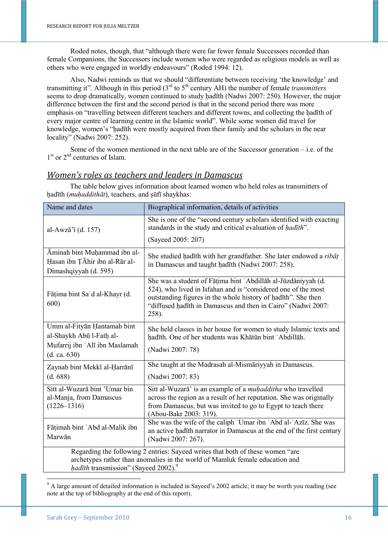Roded notes, though, that "although there were far fewer female Successors recorded than female Companions, the Successors include women who were regarded as religious models as well as others who were engaged in worldly endeavours" (Roded 1994: 12).

Also, Nadwi reminds us that we should "differentiate between receiving 'the knowledge' and transmitting it". Although in this period (3rd to 5th century AH) the number of female *transmitters* seems to drop dramatically, women continued to study hadīth (Nadwi 2007: 250). However, the major difference between the first and the second period is that in the second period there was more emphasis on "travelling between different teachers and different towns, and collecting the hadīth of every major centre of learning centre in the Islamic world". While some women did travel for knowledge, women's "hadīth were mostly acquired from their family and the scholars in the near locality" (Nadwi 2007: 252).

Some of the women mentioned in the next table are of the Successor generation – i.e. of the 1<sup>st</sup> or 2<sup>nd</sup> centuries of Islam.

#### *Women's roles as teachers and leaders in Damascus*

The table below gives information about learned women who held roles as transmitters of hadīth (*muhaddithāt*), teachers, and sūfī shaykhas:

| Name and dates                                                                                                                                                                                                            | Biographical information, details of activities                                                                                                                                                                                                                          |
|---------------------------------------------------------------------------------------------------------------------------------------------------------------------------------------------------------------------------|--------------------------------------------------------------------------------------------------------------------------------------------------------------------------------------------------------------------------------------------------------------------------|
| al-Awzā'ī (d. 157)                                                                                                                                                                                                        | She is one of the "second century scholars identified with exacting<br>standards in the study and critical evaluation of hadīth".<br>(Sayeed 2005: 207)                                                                                                                  |
| Āminah bint Muḥammad ibn al-<br>Hasan ibn TĀhir ibn al-Rār al-<br>Dimashqiyyah (d. 595)                                                                                                                                   | She studied hadīth with her grandfather. She later endowed a ribāt<br>in Damascus and taught hadīth (Nadwi 2007: 258).                                                                                                                                                   |
| Fāṭima bint Sa'd al-Khayr (d.<br>600)                                                                                                                                                                                     | She was a student of Fāṭima bint 'Abdillāh al-Jūzdāniyyah (d.<br>524), who lived in Isfahan and is "considered one of the most<br>outstanding figures in the whole history of hadīth". She then<br>"diffused hadīth in Damascus and then in Cairo" (Nadwi 2007:<br>258). |
| Umm al-Fityan Hantamah bint<br>al-Shaykh Abū l-Fath al-<br>Mufarrij ibn 'Alī ibn Maslamah<br>(d. ca. 630)                                                                                                                 | She held classes in her house for women to study Islamic texts and<br>hadīth. One of her students was Khātūn bint 'Abdillāh.<br>(Nadwi 2007: 78)                                                                                                                         |
| Zaynab bint Mekkī al-Ḥarrānī<br>(d. 688)                                                                                                                                                                                  | She taught at the Madrasah al-Mismāriyyah in Damascus.<br>(Nadwi 2007: 83)                                                                                                                                                                                               |
| Sitt al-Wuzarā bint 'Umar bin<br>al-Manja, from Damascus<br>$(1226 - 1316)$                                                                                                                                               | Sitt al-Wuzara' is an example of a <i>muhadditha</i> who travelled<br>across the region as a result of her reputation. She was originally<br>from Damascus, but was invited to go to Egypt to teach there<br>(Abou-Bakr 2003: 319).                                      |
| Fāṭimah bint 'Abd al-Malik ibn<br>Marwān                                                                                                                                                                                  | She was the wife of the caliph 'Umar ibn 'Abd al-'Azīz. She was<br>an active hadīth narrator in Damascus at the end of the first century<br>(Nadwi 2007: 267).                                                                                                           |
| Regarding the following 2 entries: Sayeed writes that both of these women "are<br>archetypes rather than anomalies in the world of Mamluk female education and<br><i>hadīth</i> transmission" (Sayeed 2002). <sup>9</sup> |                                                                                                                                                                                                                                                                          |

<sup>9</sup> A large amount of detailed information is included in Sayeed's 2002 article; it may be worth you reading (see note at the top of bibliography at the end of this report).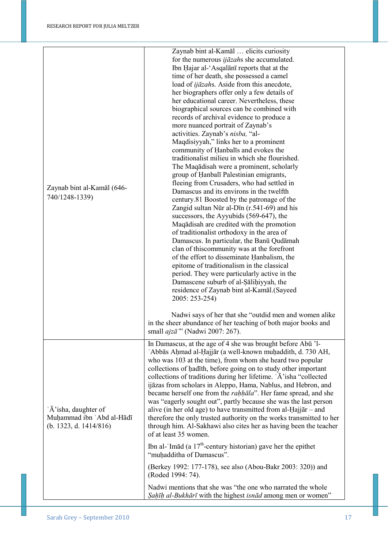| Zaynab bint al-Kamāl (646-<br>740/1248-1339)                                 | Zaynab bint al-Kamāl  elicits curiosity<br>for the numerous <i>ijāzah</i> s she accumulated.<br>Ibn Hajar al-'Asqalani reports that at the<br>time of her death, she possessed a camel<br>load of <i>ijāzahs</i> . Aside from this anecdote,<br>her biographers offer only a few details of<br>her educational career. Nevertheless, these<br>biographical sources can be combined with<br>records of archival evidence to produce a<br>more nuanced portrait of Zaynab's<br>activities. Zaynab's nisba, "al-<br>Maqdisiyyah," links her to a prominent<br>community of Hanbalis and evokes the<br>traditionalist milieu in which she flourished.<br>The Maqadisah were a prominent, scholarly<br>group of Hanbalī Palestinian emigrants,<br>fleeing from Crusaders, who had settled in<br>Damascus and its environs in the twelfth<br>century.81 Boosted by the patronage of the<br>Zangid sultan Nūr al-Dīn (r.541-69) and his<br>successors, the Ayyubids (569-647), the<br>Maqadisah are credited with the promotion<br>of traditionalist orthodoxy in the area of<br>Damascus. In particular, the Banū Qudāmah<br>clan of this community was at the forefront<br>of the effort to disseminate Hanbalism, the<br>epitome of traditionalism in the classical<br>period. They were particularly active in the<br>Damascene suburb of al-Sālihiyyah, the<br>residence of Zaynab bint al-Kamāl.(Sayeed<br>2005: 253-254)<br>Nadwi says of her that she "outdid men and women alike |
|------------------------------------------------------------------------------|------------------------------------------------------------------------------------------------------------------------------------------------------------------------------------------------------------------------------------------------------------------------------------------------------------------------------------------------------------------------------------------------------------------------------------------------------------------------------------------------------------------------------------------------------------------------------------------------------------------------------------------------------------------------------------------------------------------------------------------------------------------------------------------------------------------------------------------------------------------------------------------------------------------------------------------------------------------------------------------------------------------------------------------------------------------------------------------------------------------------------------------------------------------------------------------------------------------------------------------------------------------------------------------------------------------------------------------------------------------------------------------------------------------------------------------------------------------------------------|
|                                                                              | in the sheer abundance of her teaching of both major books and<br>small <i>ajzā</i> "' (Nadwi 2007: 267).                                                                                                                                                                                                                                                                                                                                                                                                                                                                                                                                                                                                                                                                                                                                                                                                                                                                                                                                                                                                                                                                                                                                                                                                                                                                                                                                                                          |
| 'Ā' isha, daughter of<br>Muhammad ibn 'Abd al-Hādī<br>(b. 1323, d. 1414/816) | In Damascus, at the age of 4 she was brought before Abū 'l-<br>'Abbās Ahmad al-Hajjār (a well-known muhaddith, d. 730 AH,<br>who was 103 at the time), from whom she heard two popular<br>collections of hadith, before going on to study other important<br>collections of traditions during her lifetime. 'A' isha "collected"<br>ijāzas from scholars in Aleppo, Hama, Nablus, and Hebron, and<br>became herself one from the <i>rahhala</i> ". Her fame spread, and she<br>was "eagerly sought out", partly because she was the last person<br>alive (in her old age) to have transmitted from al-Hajj $ar -$ and<br>therefore the only trusted authority on the works transmitted to her<br>through him. Al-Sakhawi also cites her as having been the teacher<br>of at least 35 women.<br>Ibn al-'Im $\bar{a}d$ (a 17 <sup>th</sup> -century historian) gave her the epithet<br>"muhadditha of Damascus".<br>(Berkey 1992: 177-178), see also (Abou-Bakr 2003: 320)) and<br>(Roded 1994: 74).<br>Nadwi mentions that she was "the one who narrated the whole<br>Sahīh al-Bukhārī with the highest isnād among men or women"                                                                                                                                                                                                                                                                                                                                                   |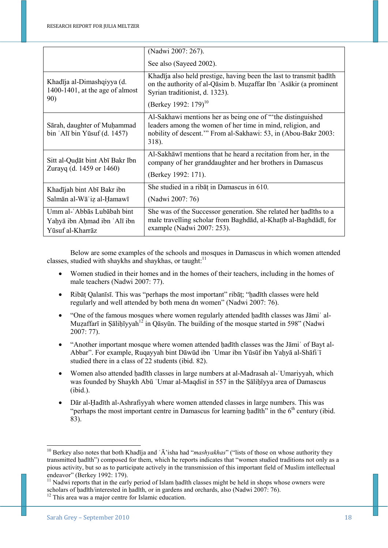|                                                                                    | (Nadwi 2007: 267).                                                                                                                                                                                   |
|------------------------------------------------------------------------------------|------------------------------------------------------------------------------------------------------------------------------------------------------------------------------------------------------|
|                                                                                    | See also (Sayeed 2002).                                                                                                                                                                              |
| Khadīja al-Dimashqiyya (d.<br>1400-1401, at the age of almost<br>90)               | Khadīja also held prestige, having been the last to transmit hadīth<br>on the authority of al-Qasim b. Muzaffar Ibn 'Asakir (a prominent<br>Syrian traditionist, d. 1323).                           |
|                                                                                    | (Berkey 1992: 179) <sup>10</sup>                                                                                                                                                                     |
| Sārah, daughter of Muḥammad<br>$bin 'Al\bar{\iota} bin Y\bar{\iota} suf (d. 1457)$ | Al-Sakhawi mentions her as being one of "the distinguished"<br>leaders among the women of her time in mind, religion, and<br>nobility of descent." From al-Sakhawi: 53, in (Abou-Bakr 2003:<br>318). |
| Sitt al-Qudāt bint Abī Bakr Ibn<br>Zurayq (d. 1459 or 1460)                        | Al-Sakhāwī mentions that he heard a recitation from her, in the<br>company of her granddaughter and her brothers in Damascus                                                                         |
|                                                                                    | (Berkey 1992: 171).                                                                                                                                                                                  |
| Khadījah bint Abī Bakr ibn                                                         | She studied in a ribat in Damascus in 610.                                                                                                                                                           |
| Salmān al-Wāʿiz al-Hamawī                                                          | (Nadwi 2007: 76)                                                                                                                                                                                     |
| Umm al-'Abbās Lubābah bint<br>Yahyā ibn Ahmad ibn 'Alī ibn<br>Yūsuf al-Kharrāz     | She was of the Successor generation. She related her hadīths to a<br>male travelling scholar from Baghdad, al-Khaṭīb al-Baghdadī, for<br>example (Nadwi 2007: 253).                                  |

 Below are some examples of the schools and mosques in Damascus in which women attended classes, studied with shaykhs and shaykhas, or taught: $11$ 

- Women studied in their homes and in the homes of their teachers, including in the homes of male teachers (Nadwi 2007: 77).
- Ribāṭ Qalanīsī. This was "perhaps the most important" ribāṭ; "hadīth classes were held regularly and well attended by both mena dn women" (Nadwi 2007: 76).
- "One of the famous mosques where women regularly attended hadīth classes was Jāmi' al-Muzaffarī in Sālihīyyah<sup>12</sup> in Qāsyūn. The building of the mosque started in 598" (Nadwi 2007: 77).
- "Another important mosque where women attended ḥadīth classes was the Jāmiʿ of Bayt al-Abbar". For example, Ruqayyah bint Dāwūd ibn 'Umar ibn Yūsūf ibn Yahyā al-Shāfi'ī studied there in a class of 22 students (ibid. 82).
- Women also attended ḥadīth classes in large numbers at al-Madrasah al-ʿUmariyyah, which was founded by Shaykh Abū 'Umar al-Maqdisī in 557 in the Sālihīyya area of Damascus (ibid.).
- Dār al-Ḥadīth al-Ashrafiyyah where women attended classes in large numbers. This was "perhaps the most important centre in Damascus for learning hadīth" in the  $6<sup>th</sup>$  century (ibid. 83).

<sup>&</sup>lt;sup>10</sup> Berkey also notes that both Khadīja and 'Ā'isha had "*mashyakhas*" ("lists of those on whose authority they transmitted hadīth") composed for them, which he reports indicates that "women studied traditions not only as a pious activity, but so as to participate actively in the transmission of this important field of Muslim intellectual endeavor" (Berkey 1992: 179).

<sup>&</sup>lt;sup>11</sup> Nadwi reports that in the early period of Islam ḥadīth classes might be held in shops whose owners were scholars of hadīth/interested in hadīth, or in gardens and orchards, also (Nadwi 2007: 76).

<sup>&</sup>lt;sup>12</sup> This area was a major centre for Islamic education.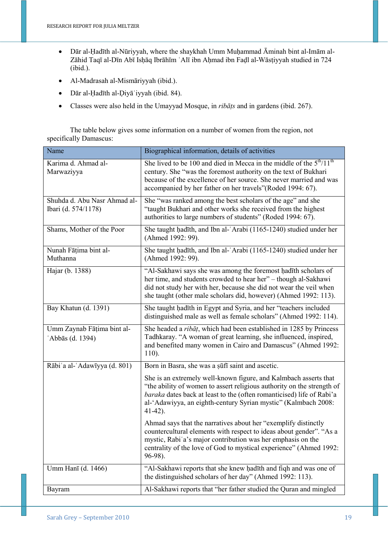- Dār al-Ḥadīth al-Nūriyyah, where the shaykhah Umm Muḥammad Āminah bint al-Imām al-Zāhid Taqī al-Dīn Abī Isḥāq Ibrāhīm ʿAlī ibn Aḥmad ibn Faḍl al-Wāsṭiyyah studied in 724 (ibid.).
- Al-Madrasah al-Mismāriyyah (ibid.).
- Dār al-Ḥadīth al-Ḍiyāʿiyyah (ibid. 84).
- Classes were also held in the Umayyad Mosque, in *ribāṭs* and in gardens (ibid. 267).

The table below gives some information on a number of women from the region, not specifically Damascus:

| Name                                                | Biographical information, details of activities                                                                                                                                                                                                                                                     |
|-----------------------------------------------------|-----------------------------------------------------------------------------------------------------------------------------------------------------------------------------------------------------------------------------------------------------------------------------------------------------|
| Karima d. Ahmad al-<br>Marwaziyya                   | She lived to be 100 and died in Mecca in the middle of the $5th/11th$<br>century. She "was the foremost authority on the text of Bukhari<br>because of the excellence of her source. She never married and was<br>accompanied by her father on her travels" (Roded 1994: 67).                       |
| Shuhda d. Abu Nasr Ahmad al-<br>Ibari (d. 574/1178) | She "was ranked among the best scholars of the age" and she<br>"taught Bukhari and other works she received from the highest<br>authorities to large numbers of students" (Roded 1994: 67).                                                                                                         |
| Shams, Mother of the Poor                           | She taught hadīth, and Ibn al-'Arabi (1165-1240) studied under her<br>(Ahmed 1992: 99).                                                                                                                                                                                                             |
| Nunah Fāṭima bint al-<br>Muthanna                   | She taught hadīth, and Ibn al-'Arabi (1165-1240) studied under her<br>(Ahmed 1992: 99).                                                                                                                                                                                                             |
| Hajar (b. 1388)                                     | "Al-Sakhawi says she was among the foremost hadith scholars of<br>her time, and students crowded to hear her" - though al-Sakhawi<br>did not study her with her, because she did not wear the veil when<br>she taught (other male scholars did, however) (Ahmed 1992: 113).                         |
| Bay Khatun (d. 1391)                                | She taught hadīth in Egypt and Syria, and her "teachers included<br>distinguished male as well as female scholars" (Ahmed 1992: 114).                                                                                                                                                               |
| Umm Zaynab Fāțima bint al-<br>'Abbās (d. 1394)      | She headed a <i>ribat</i> , which had been established in 1285 by Princess<br>Tadhkaray. "A woman of great learning, she influenced, inspired,<br>and benefited many women in Cairo and Damascus" (Ahmed 1992:<br>110).                                                                             |
| Rābi'a al-'Adawīyya (d. 801)                        | Born in Basra, she was a suff saint and ascetic.                                                                                                                                                                                                                                                    |
|                                                     | She is an extremely well-known figure, and Kalmbach asserts that<br>"the ability of women to assert religious authority on the strength of<br>baraka dates back at least to the (often romanticised) life of Rabi'a<br>al-'Adawiyya, an eighth-century Syrian mystic" (Kalmbach 2008:<br>$41-42$ ). |
|                                                     | Ahmad says that the narratives about her "exemplify distinctly<br>countercultural elements with respect to ideas about gender". "As a<br>mystic, Rabi'a's major contribution was her emphasis on the<br>centrality of the love of God to mystical experience" (Ahmed 1992:<br>96-98).               |
| Umm Hanī (d. 1466)                                  | "Al-Sakhawi reports that she knew hadīth and fiqh and was one of<br>the distinguished scholars of her day" (Ahmed 1992: 113).                                                                                                                                                                       |
| Bayram                                              | Al-Sakhawi reports that "her father studied the Quran and mingled                                                                                                                                                                                                                                   |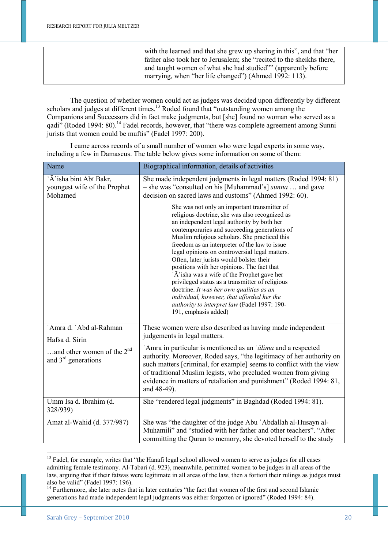| with the learned and that she grew up sharing in this", and that "her<br>father also took her to Jerusalem; she "recited to the sheikhs there,<br>and taught women of what she had studied"" (apparently before |
|-----------------------------------------------------------------------------------------------------------------------------------------------------------------------------------------------------------------|
| marrying, when "her life changed") (Ahmed 1992: 113).                                                                                                                                                           |

The question of whether women could act as judges was decided upon differently by different scholars and judges at different times.<sup>13</sup> Roded found that "outstanding women among the Companions and Successors did in fact make judgments, but [she] found no woman who served as a qadi" (Roded 1994: 80).<sup>14</sup> Fadel records, however, that "there was complete agreement among Sunni jurists that women could be muftis" (Fadel 1997: 200).

I came across records of a small number of women who were legal experts in some way, including a few in Damascus. The table below gives some information on some of them:

| Name                                                               | Biographical information, details of activities                                                                                                                                                                                                                                                                                                                                                                                                                                                                                                                                                                                                                                                                |
|--------------------------------------------------------------------|----------------------------------------------------------------------------------------------------------------------------------------------------------------------------------------------------------------------------------------------------------------------------------------------------------------------------------------------------------------------------------------------------------------------------------------------------------------------------------------------------------------------------------------------------------------------------------------------------------------------------------------------------------------------------------------------------------------|
| 'Ā' isha bint Abī Bakr,<br>youngest wife of the Prophet<br>Mohamed | She made independent judgments in legal matters (Roded 1994: 81)<br>- she was "consulted on his [Muhammad's] <i>sunna</i> and gave<br>decision on sacred laws and customs" (Ahmed 1992: 60).                                                                                                                                                                                                                                                                                                                                                                                                                                                                                                                   |
|                                                                    | She was not only an important transmitter of<br>religious doctrine, she was also recognized as<br>an independent legal authority by both her<br>contemporaries and succeeding generations of<br>Muslim religious scholars. She practiced this<br>freedom as an interpreter of the law to issue<br>legal opinions on controversial legal matters.<br>Often, later jurists would bolster their<br>positions with her opinions. The fact that<br>'Ā' isha was a wife of the Prophet gave her<br>privileged status as a transmitter of religious<br>doctrine. It was her own qualities as an<br>individual, however, that afforded her the<br>authority to interpret law (Fadel 1997: 190-<br>191, emphasis added) |
| 'Amra d. 'Abd al-Rahman<br>Hafsa d. Sirin                          | These women were also described as having made independent<br>judgements in legal matters.                                                                                                                                                                                                                                                                                                                                                                                                                                                                                                                                                                                                                     |
| and other women of the $2nd$<br>and $3rd$ generations              | 'Amra in particular is mentioned as an ' <i>alima</i> and a respected<br>authority. Moreover, Roded says, "the legitimacy of her authority on<br>such matters [criminal, for example] seems to conflict with the view<br>of traditional Muslim legists, who precluded women from giving<br>evidence in matters of retaliation and punishment" (Roded 1994: 81,<br>and 48-49).                                                                                                                                                                                                                                                                                                                                  |
| Umm Isa d. Ibrahim (d.<br>328/939)                                 | She "rendered legal judgments" in Baghdad (Roded 1994: 81).                                                                                                                                                                                                                                                                                                                                                                                                                                                                                                                                                                                                                                                    |
| Amat al-Wahid (d. 377/987)                                         | She was "the daughter of the judge Abu 'Abdallah al-Husayn al-<br>Muhamili" and "studied with her father and other teachers". "After<br>committing the Quran to memory, she devoted herself to the study                                                                                                                                                                                                                                                                                                                                                                                                                                                                                                       |

<sup>&</sup>lt;sup>13</sup> Fadel, for example, writes that "the Hanafi legal school allowed women to serve as judges for all cases admitting female testimony. Al-Tabari (d. 923), meanwhile, permitted women to be judges in all areas of the law, arguing that if their fatwas were legitimate in all areas of the law, then a fortiori their rulings as judges must also be valid" (Fadel 1997: 196).

1

<sup>&</sup>lt;sup>14</sup> Furthermore, she later notes that in later centuries "the fact that women of the first and second Islamic generations had made independent legal judgments was either forgotten or ignored" (Roded 1994: 84).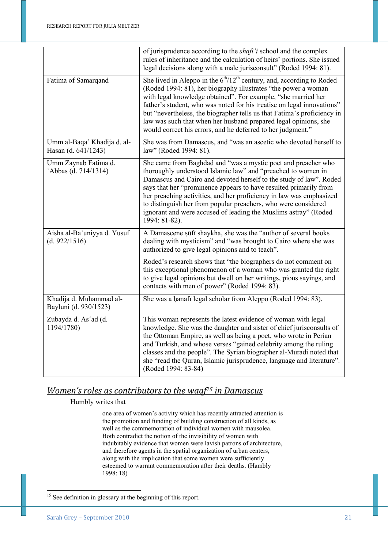|                                                    | of jurisprudence according to the shaft 'i school and the complex<br>rules of inheritance and the calculation of heirs' portions. She issued<br>legal decisions along with a male jurisconsult" (Roded 1994: 81).                                                                                                                                                                                                                                                                                     |
|----------------------------------------------------|-------------------------------------------------------------------------------------------------------------------------------------------------------------------------------------------------------------------------------------------------------------------------------------------------------------------------------------------------------------------------------------------------------------------------------------------------------------------------------------------------------|
| Fatima of Samarqand                                | She lived in Aleppo in the $6th/12th$ century, and, according to Roded<br>(Roded 1994: 81), her biography illustrates "the power a woman<br>with legal knowledge obtained". For example, "she married her<br>father's student, who was noted for his treatise on legal innovations"<br>but "nevertheless, the biographer tells us that Fatima's proficiency in<br>law was such that when her husband prepared legal opinions, she<br>would correct his errors, and he deferred to her judgment."      |
| Umm al-Baqa' Khadija d. al-<br>Hasan (d. 641/1243) | She was from Damascus, and "was an ascetic who devoted herself to<br>law" (Roded 1994: 81).                                                                                                                                                                                                                                                                                                                                                                                                           |
| Umm Zaynab Fatima d.<br>'Abbas (d. 714/1314)       | She came from Baghdad and "was a mystic poet and preacher who<br>thoroughly understood Islamic law" and "preached to women in<br>Damascus and Cairo and devoted herself to the study of law". Roded<br>says that her "prominence appears to have resulted primarily from<br>her preaching activities, and her proficiency in law was emphasized<br>to distinguish her from popular preachers, who were considered<br>ignorant and were accused of leading the Muslims astray" (Roded<br>1994: 81-82). |
| Aisha al-Ba'uniyya d. Yusuf<br>(d. 922/1516)       | A Damascene sūfī shaykha, she was the "author of several books<br>dealing with mysticism" and "was brought to Cairo where she was<br>authorized to give legal opinions and to teach".                                                                                                                                                                                                                                                                                                                 |
|                                                    | Roded's research shows that "the biographers do not comment on<br>this exceptional phenomenon of a woman who was granted the right<br>to give legal opinions but dwell on her writings, pious sayings, and<br>contacts with men of power" (Roded 1994: 83).                                                                                                                                                                                                                                           |
| Khadija d. Muhammad al-<br>Bayluni (d. 930/1523)   | She was a hanafi legal scholar from Aleppo (Roded 1994: 83).                                                                                                                                                                                                                                                                                                                                                                                                                                          |
| Zubayda d. As'ad (d.<br>1194/1780)                 | This woman represents the latest evidence of woman with legal<br>knowledge. She was the daughter and sister of chief jurisconsults of<br>the Ottoman Empire, as well as being a poet, who wrote in Perian<br>and Turkish, and whose verses "gained celebrity among the ruling<br>classes and the people". The Syrian biographer al-Muradi noted that<br>she "read the Quran, Islamic jurisprudence, language and literature".<br>(Roded 1994: 83-84)                                                  |

## *Women's roles as contributors to the waqf15 in Damascus*

Humbly writes that

one area of women's activity which has recently attracted attention is the promotion and funding of building construction of all kinds, as well as the commemoration of individual women with mausolea. Both contradict the notion of the invisibility of women with indubitably evidence that women were lavish patrons of architecture, and therefore agents in the spatial organization of urban centers, along with the implication that some women were sufficiently esteemed to warrant commemoration after their deaths. (Hambly 1998: 18)

<sup>&</sup>lt;sup>15</sup> See definition in glossary at the beginning of this report.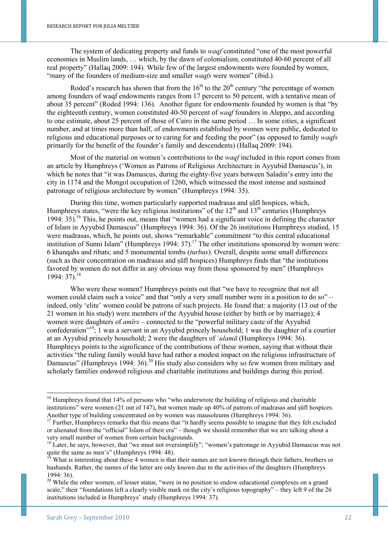The system of dedicating property and funds to *waqf* constituted "one of the most powerful economies in Muslim lands, … which, by the dawn of colonialism, constituted 40-60 percent of all real property" (Hallaq 2009: 194). While few of the largest endowments were founded by women, "many of the founders of medium-size and smaller *waqfs* were women" (ibid.).

Roded's research has shown that from the  $16<sup>th</sup>$  to the  $20<sup>th</sup>$  century "the percentage of women among founders of waqf endowments ranges from 17 percent to 50 percent, with a tentative mean of about 35 percent" (Roded 1994: 136). Another figure for endowments founded by women is that "by the eighteenth century, women constituted 40-50 percent of *waqf* founders in Aleppo, and according to one estimate, about 25 percent of those of Cairo in the same period … In some cities, a significant number, and at times more than half, of endowments established by women were public, dedicated to religious and educational purposes or to caring for and feeding the poor" (as opposed to family *waqfs* primarily for the benefit of the founder's family and descendents) (Hallaq 2009: 194).

Most of the material on women's contributions to the *waqf* included in this report comes from an article by Humphreys ('Women as Patrons of Religious Architecture in Ayyubid Damascus'), in which he notes that "it was Damascus, during the eighty-five years between Saladin's entry into the city in 1174 and the Mongol occupation of 1260, which witnessed the most intense and sustained patronage of religious architecture by women" (Humphreys 1994: 35).

During this time, women particularly supported madrasas and ṣūfī hospices, which, Humphreys states, "were the key religious institutions" of the  $12<sup>th</sup>$  and  $13<sup>th</sup>$  centuries (Humphreys 1994: 35).<sup>16</sup> This, he points out, means that "women had a significant voice in defining the character of Islam in Ayyubid Damascus" (Humphreys 1994: 36). Of the 26 institutions Humphreys studied, 15 were madrasas, which, he points out, shows "remarkable" commitment "to this central educational institution of Sunni Islam" (Humphreys 1994:  $37$ ).<sup>17</sup> The other institutions sponsored by women were: 6 khanqahs and ribats; and 5 monumental tombs (*turbas*). Overall, despite some small differences (such as their concentration on madrasas and ṣūfī hospices) Humphreys finds that "the institutions favored by women do not differ in any obvious way from those sponsored by men" (Humphreys 1994: 37).<sup>18</sup>

Who were these women? Humphreys points out that "we have to recognize that not all women could claim such a voice" and that "only a very small number were in a position to do so" – indeed, only 'elite' women could be patrons of such projects. He found that: a majority (13 out of the 21 women in his study) were members of the Ayyubid house (either by birth or by marriage); 4 women were daughters of *amīrs* – connected to the "powerful military caste of the Ayyubid confederation"<sup>19</sup>; 1 was a servant in an Ayyubid princely household; 1 was the daughter of a courtier at an Ayyubid princely household; 2 were the daughters of ʿ*ulamā* (Humphreys 1994: 36). Humphreys points to the significance of the contributions of these women, saying that without their activities "the ruling family would have had rather a modest impact on the religious infrastructure of Damascus" (Humphreys 1994: 36).<sup>20</sup> His study also considers why so few women from military and scholarly families endowed religious and charitable institutions and buildings during this period.

 $16$  Humphreys found that 14% of persons who "who underwrote the building of religious and charitable institutions" were women (21 out of 147), but women made up 40% of patrons of madrasas and ṣūfī hospices. Another type of building concentrated on by women was mausoleums (Humphreys 1994: 36).

<sup>&</sup>lt;sup>17</sup> Further, Humphreys remarks that this means that "it hardly seems possible to imagine that they felt excluded or alienated from the "official" Islam of their era" – though we should remember that we are talking about a very small number of women from certain backgrounds.

 $18$  Later, he says, however, that "we must not oversimplify"; "women's patronage in Ayyubid Damascus was not quite the same as men's" (Humphreys 1994: 48).

What is interesting about these 4 women is that their names are not known through their fathers, brothers or husbands. Rather, the names of the latter are only known due to the activities of the daughters (Humphreys  $1994 \cdot 36$ 

<sup>&</sup>lt;sup>20</sup> While the other women, of lesser status, "were in no position to endow educational complexes on a grand scale," their "foundations left a clearly visible mark on the city's religious topography" – they left 9 of the 26 institutions included in Humphreys' study (Humphreys 1994: 37).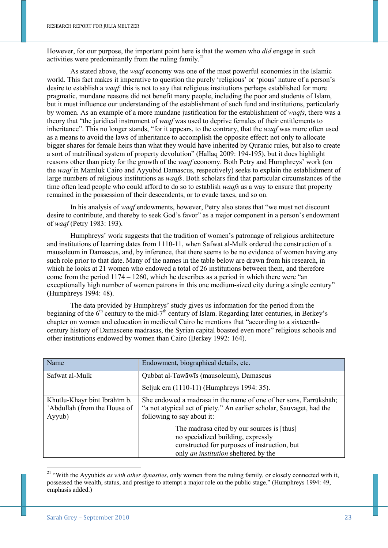However, for our purpose, the important point here is that the women who *did* engage in such activities were predominantly from the ruling family.<sup>21</sup>

As stated above, the *waqf* economy was one of the most powerful economies in the Islamic world. This fact makes it imperative to question the purely 'religious' or 'pious' nature of a person's desire to establish a *waqf*: this is not to say that religious institutions perhaps established for more pragmatic, mundane reasons did not benefit many people, including the poor and students of Islam, but it must influence our understanding of the establishment of such fund and institutions, particularly by women. As an example of a more mundane justification for the establishment of *waqfs*, there was a theory that "the juridical instrument of *waqf* was used to deprive females of their entitlements to inheritance". This no longer stands, "for it appears, to the contrary, that the *waqf* was more often used as a means to avoid the laws of inheritance to accomplish the opposite effect: not only to allocate bigger shares for female heirs than what they would have inherited by Quranic rules, but also to create a sort of matrilineal system of property devolution" (Hallaq 2009: 194-195), but it does highlight reasons other than piety for the growth of the *waqf* economy. Both Petry and Humphreys' work (on the *waqf* in Mamluk Cairo and Ayyubid Damascus, respectively) seeks to explain the establishment of large numbers of religious institutions as *waqfs*. Both scholars find that particular circumstances of the time often lead people who could afford to do so to establish *waqfs* as a way to ensure that property remained in the possession of their descendents, or to evade taxes, and so on.

In his analysis of *waqf* endowments, however, Petry also states that "we must not discount desire to contribute, and thereby to seek God's favor" as a major component in a person's endowment of *waqf* (Petry 1983: 193).

Humphreys' work suggests that the tradition of women's patronage of religious architecture and institutions of learning dates from 1110-11, when Safwat al-Mulk ordered the construction of a mausoleum in Damascus, and, by inference, that there seems to be no evidence of women having any such role prior to that date. Many of the names in the table below are drawn from his research, in which he looks at 21 women who endowed a total of 26 institutions between them, and therefore come from the period 1174 – 1260, which he describes as a period in which there were "an exceptionally high number of women patrons in this one medium-sized city during a single century" (Humphreys 1994: 48).

The data provided by Humphreys' study gives us information for the period from the beginning of the  $6<sup>th</sup>$  century to the mid-7<sup>th</sup> century of Islam. Regarding later centuries, in Berkey's chapter on women and education in medieval Cairo he mentions that "according to a sixteenthcentury history of Damascene madrasas, the Syrian capital boasted even more" religious schools and other institutions endowed by women than Cairo (Berkey 1992: 164).

| Name                                                                   | Endowment, biographical details, etc.                                                                                                                                    |
|------------------------------------------------------------------------|--------------------------------------------------------------------------------------------------------------------------------------------------------------------------|
| Safwat al-Mulk                                                         | Qubbat al-Tawāwīs (mausoleum), Damascus                                                                                                                                  |
|                                                                        | Seljuk era (1110-11) (Humphreys 1994: 35).                                                                                                                               |
| Khutlu-Khayr bint Ibrāhīm b.<br>'Abdullah (from the House of<br>Ayyub) | She endowed a madrasa in the name of one of her sons, Farrūkshāh;<br>"a not atypical act of piety." An earlier scholar, Sauvaget, had the<br>following to say about it:  |
|                                                                        | The madrasa cited by our sources is [thus]<br>no specialized building, expressly<br>constructed for purposes of instruction, but<br>only an institution sheltered by the |

<sup>&</sup>lt;sup>21</sup> "With the Ayyubids *as with other dynasties*, only women from the ruling family, or closely connected with it, possessed the wealth, status, and prestige to attempt a major role on the public stage." (Humphreys 1994: 49, emphasis added.)

1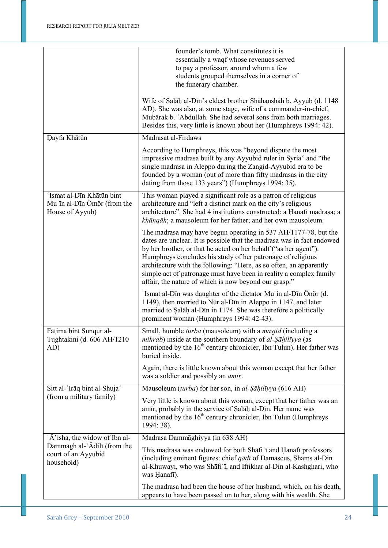|                                                                             | founder's tomb. What constitutes it is<br>essentially a waqf whose revenues served<br>to pay a professor, around whom a few<br>students grouped themselves in a corner of<br>the funerary chamber.                                                                                                                                                                                                                                                                                |
|-----------------------------------------------------------------------------|-----------------------------------------------------------------------------------------------------------------------------------------------------------------------------------------------------------------------------------------------------------------------------------------------------------------------------------------------------------------------------------------------------------------------------------------------------------------------------------|
|                                                                             | Wife of Salāḥ al-Dīn's eldest brother Shāhanshāh b. Ayyub (d. 1148<br>AD). She was also, at some stage, wife of a commander-in-chief,<br>Mubārak b. 'Abdullah. She had several sons from both marriages.<br>Besides this, very little is known about her (Humphreys 1994: 42).                                                                                                                                                                                                    |
| Dayfa Khātūn                                                                | Madrasat al-Firdaws                                                                                                                                                                                                                                                                                                                                                                                                                                                               |
|                                                                             | According to Humphreys, this was "beyond dispute the most<br>impressive madrasa built by any Ayyubid ruler in Syria" and "the<br>single madrasa in Aleppo during the Zangid-Ayyubid era to be<br>founded by a woman (out of more than fifty madrasas in the city<br>dating from those 133 years") (Humphreys 1994: 35).                                                                                                                                                           |
| 'Ismat al-Dīn Khātūn bint<br>Mu'in al-Din Ömör (from the<br>House of Ayyub) | This woman played a significant role as a patron of religious<br>architecture and "left a distinct mark on the city's religious<br>architecture". She had 4 institutions constructed: a Hanafī madrasa; a<br>khāngāh; a mausoleum for her father; and her own mausoleum.                                                                                                                                                                                                          |
|                                                                             | The madrasa may have begun operating in 537 AH/1177-78, but the<br>dates are unclear. It is possible that the madrasa was in fact endowed<br>by her brother, or that he acted on her behalf ("as her agent").<br>Humphreys concludes his study of her patronage of religious<br>architecture with the following: "Here, as so often, an apparently<br>simple act of patronage must have been in reality a complex family<br>affair, the nature of which is now beyond our grasp." |
|                                                                             | 'Ismat al-Dīn was daughter of the dictator Mu'in al-Dīn Önör (d.<br>1149), then married to Nūr al-Dīn in Aleppo in 1147, and later<br>married to Salāḥ al-Dīn in 1174. She was therefore a politically<br>prominent woman (Humphreys 1994: 42-43).                                                                                                                                                                                                                                |
| Fāṭima bint Sunqur al-<br>Tughtakini (d. 606 AH/1210<br>AD)                 | Small, humble turba (mausoleum) with a <i>masjid</i> (including a<br>mihrab) inside at the southern boundary of al-Sāḥilīyya (as<br>mentioned by the 16 <sup>th</sup> century chronicler, Ibn Tulun). Her father was<br>buried inside.                                                                                                                                                                                                                                            |
|                                                                             | Again, there is little known about this woman except that her father<br>was a soldier and possibly an <i>amīr</i> .                                                                                                                                                                                                                                                                                                                                                               |
| Sitt al-'Iraq bint al-Shuja'                                                | Mausoleum (turba) for her son, in al-Sāḥilīyya (616 AH)                                                                                                                                                                                                                                                                                                                                                                                                                           |
| (from a military family)                                                    | Very little is known about this woman, except that her father was an<br>amīr, probably in the service of Salāḥ al-Dīn. Her name was<br>mentioned by the 16 <sup>th</sup> century chronicler, Ibn Tulun (Humphreys<br>1994: 38).                                                                                                                                                                                                                                                   |
| 'Ā' isha, the widow of Ibn al-                                              | Madrasa Dammāghiyya (in 638 AH)                                                                                                                                                                                                                                                                                                                                                                                                                                                   |
| Dammāgh al-'Ādilī (from the<br>court of an Ayyubid<br>household)            | This madrasa was endowed for both Shafi'i and Hanafi professors<br>(including eminent figures: chief $q\bar{q}d\bar{l}$ of Damascus, Shams al-Din<br>al-Khuwayi, who was Shāfi'ī, and Iftikhar al-Din al-Kashghari, who<br>was Hanafī).                                                                                                                                                                                                                                           |
|                                                                             | The madrasa had been the house of her husband, which, on his death,<br>appears to have been passed on to her, along with his wealth. She                                                                                                                                                                                                                                                                                                                                          |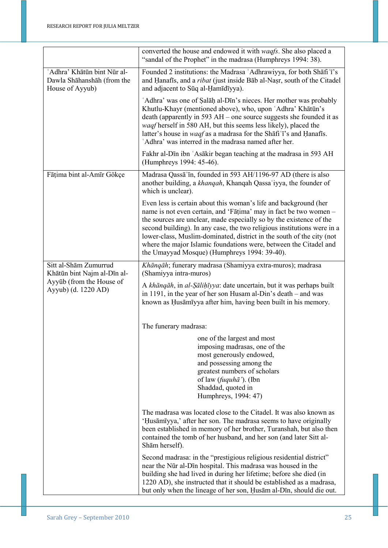|                                                                                                         | converted the house and endowed it with waqfs. She also placed a<br>"sandal of the Prophet" in the madrasa (Humphreys 1994: 38).                                                                                                                                                                                                                                                                                                                                                      |
|---------------------------------------------------------------------------------------------------------|---------------------------------------------------------------------------------------------------------------------------------------------------------------------------------------------------------------------------------------------------------------------------------------------------------------------------------------------------------------------------------------------------------------------------------------------------------------------------------------|
| 'Adhra' Khātūn bint Nūr al-<br>Dawla Shāhanshāh (from the<br>House of Ayyub)                            | Founded 2 institutions: the Madrasa 'Adhrawiyya, for both Shafi'i's<br>and Hanafis, and a <i>ribat</i> (just inside Bab al-Nasr, south of the Citadel<br>and adjacent to Sūq al-Hamīdīyya).                                                                                                                                                                                                                                                                                           |
|                                                                                                         | 'Adhra' was one of Salāḥ al-Dīn's nieces. Her mother was probably<br>Khutlu-Khayr (mentioned above), who, upon 'Adhra' Khātūn's<br>death (apparently in 593 AH – one source suggests she founded it as<br>waqf herself in 580 AH, but this seems less likely), placed the<br>latter's house in <i>waqf</i> as a madrasa for the Shafi'is and Hanafis.<br>'Adhra' was interred in the madrasa named after her.                                                                         |
|                                                                                                         | Fakhr al-Dīn ibn 'Asākir began teaching at the madrasa in 593 AH<br>(Humphreys 1994: 45-46).                                                                                                                                                                                                                                                                                                                                                                                          |
| Fāṭima bint al-Amīr Gökçe                                                                               | Madrasa Qassā in, founded in 593 AH/1196-97 AD (there is also<br>another building, a khangah, Khangah Qassa'iyya, the founder of<br>which is unclear).                                                                                                                                                                                                                                                                                                                                |
|                                                                                                         | Even less is certain about this woman's life and background (her<br>name is not even certain, and 'Fatima' may in fact be two women -<br>the sources are unclear, made especially so by the existence of the<br>second building). In any case, the two religious institutions were in a<br>lower-class, Muslim-dominated, district in the south of the city (not<br>where the major Islamic foundations were, between the Citadel and<br>the Umayyad Mosque) (Humphreys 1994: 39-40). |
| Sitt al-Shām Zumurrud<br>Khātūn bint Najm al-Dīn al-<br>Ayyūb (from the House of<br>Ayyub) (d. 1220 AD) | Khāngāh; funerary madrasa (Shamiyya extra-muros); madrasa<br>(Shamiyya intra-muros)                                                                                                                                                                                                                                                                                                                                                                                                   |
|                                                                                                         | A khānqāh, in al-Şālihīyya: date uncertain, but it was perhaps built<br>in 1191, in the year of her son Husam al-Din's death – and was<br>known as Husāmīyya after him, having been built in his memory.                                                                                                                                                                                                                                                                              |
|                                                                                                         | The funerary madrasa:                                                                                                                                                                                                                                                                                                                                                                                                                                                                 |
|                                                                                                         | one of the largest and most<br>imposing madrasas, one of the<br>most generously endowed,<br>and possessing among the<br>greatest numbers of scholars<br>of law ( <i>fuquhā'</i> ). (Ibn<br>Shaddad, quoted in<br>Humphreys, 1994: 47)                                                                                                                                                                                                                                                 |
|                                                                                                         | The madrasa was located close to the Citadel. It was also known as<br>'Husāmīyya,' after her son. The madrasa seems to have originally<br>been established in memory of her brother, Turanshah, but also then<br>contained the tomb of her husband, and her son (and later Sitt al-<br>Shām herself).                                                                                                                                                                                 |
|                                                                                                         | Second madrasa: in the "prestigious religious residential district"<br>near the Nūr al-Dīn hospital. This madrasa was housed in the<br>building she had lived in during her lifetime; before she died (in<br>1220 AD), she instructed that it should be established as a madrasa,<br>but only when the lineage of her son, Husam al-Din, should die out.                                                                                                                              |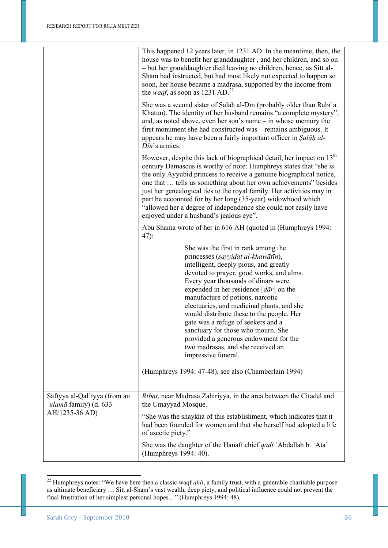|                                                        | This happened 12 years later, in 1231 AD. In the meantime, then, the<br>house was to benefit her granddaughter, and her children, and so on<br>- but her granddaughter died leaving no children, hence, as Sitt al-<br>Shām had instructed, but had most likely not expected to happen so<br>soon, her house became a madrasa, supported by the income from<br>the <i>waqf</i> , as soon as 1231 AD. <sup>22</sup>                                                                                                                                                                   |
|--------------------------------------------------------|--------------------------------------------------------------------------------------------------------------------------------------------------------------------------------------------------------------------------------------------------------------------------------------------------------------------------------------------------------------------------------------------------------------------------------------------------------------------------------------------------------------------------------------------------------------------------------------|
|                                                        | She was a second sister of Salah al-Din (probably older than Rabi <sup>'</sup> a<br>Khātūn). The identity of her husband remains "a complete mystery",<br>and, as noted above, even her son's name – in whose memory the<br>first monument she had constructed was – remains ambiguous. It<br>appears he may have been a fairly important officer in Salah al-<br>$D\bar{u}$ 's armies.                                                                                                                                                                                              |
|                                                        | However, despite this lack of biographical detail, her impact on $13th$<br>century Damascus is worthy of note: Humphreys states that "she is<br>the only Ayyubid princess to receive a genuine biographical notice,<br>one that  tells us something about her own achievements" besides<br>just her genealogical ties to the royal family. Her activities may in<br>part be accounted for by her long (35-year) widowhood which<br>"allowed her a degree of independence she could not easily have<br>enjoyed under a husband's jealous eye".                                        |
|                                                        | Abu Shama wrote of her in 616 AH (quoted in (Humphreys 1994:<br>$47)$ :                                                                                                                                                                                                                                                                                                                                                                                                                                                                                                              |
|                                                        | She was the first in rank among the<br>princesses (sayyidat al-khawātīn),<br>intelligent, deeply pious, and greatly<br>devoted to prayer, good works, and alms.<br>Every year thousands of dinars were<br>expended in her residence $\lceil d\bar{a}r \rceil$ on the<br>manufacture of potions, narcotic<br>electuaries, and medicinal plants, and she<br>would distribute these to the people. Her<br>gate was a refuge of seekers and a<br>sanctuary for those who mourn. She<br>provided a generous endowment for the<br>two madrasas, and she received an<br>impressive funeral. |
|                                                        | (Humphreys 1994: 47-48), see also (Chamberlain 1994)                                                                                                                                                                                                                                                                                                                                                                                                                                                                                                                                 |
| Sāfīyya al-Qal'īyya (from an<br>'ulamā family) (d. 633 | Ribat, near Madrasa Zahiriyya, in the area between the Citadel and<br>the Umayyad Mosque.                                                                                                                                                                                                                                                                                                                                                                                                                                                                                            |
| AH/1235-36 AD)                                         | "She was the shaykha of this establishment, which indicates that it<br>had been founded for women and that she herself had adopted a life<br>of ascetic piety."                                                                                                                                                                                                                                                                                                                                                                                                                      |
|                                                        | She was the daughter of the Hanafi chief $q\bar{q}d\bar{l}$ 'Abdallah b. 'Ata'<br>(Humphreys 1994: 40).                                                                                                                                                                                                                                                                                                                                                                                                                                                                              |

<sup>1</sup> <sup>22</sup> Humphreys notes: "We have here then a classic waqf *ahli*, a family trust, with a generable charitable purpose as ultimate beneficiary … Sitt al-Sham's vast wealth, deep piety, and political influence could not prevent the final frustration of her simplest personal hopes…" (Humphreys 1994: 48).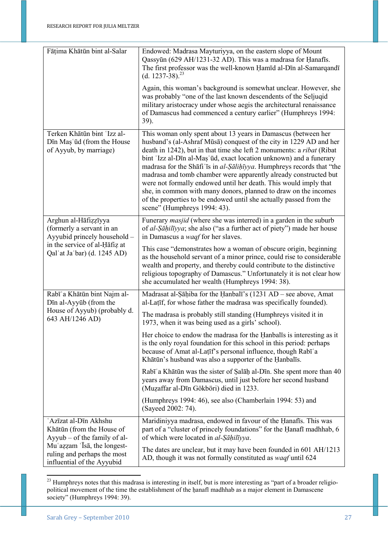| Fāṭima Khātūn bint al-Salar                                                                                                                       | Endowed: Madrasa Mayturiyya, on the eastern slope of Mount<br>Qassyūn (629 AH/1231-32 AD). This was a madrasa for Hanafis.<br>The first professor was the well-known Hamid al-Din al-Samarqandi<br>$(d. 1237-38)^{23}$                                                                                                                                                                                                                                                                                                                                                                                                                                                               |
|---------------------------------------------------------------------------------------------------------------------------------------------------|--------------------------------------------------------------------------------------------------------------------------------------------------------------------------------------------------------------------------------------------------------------------------------------------------------------------------------------------------------------------------------------------------------------------------------------------------------------------------------------------------------------------------------------------------------------------------------------------------------------------------------------------------------------------------------------|
|                                                                                                                                                   | Again, this woman's background is somewhat unclear. However, she<br>was probably "one of the last known descendents of the Seljuqid<br>military aristocracy under whose aegis the architectural renaissance<br>of Damascus had commenced a century earlier" (Humphreys 1994:<br>39).                                                                                                                                                                                                                                                                                                                                                                                                 |
| Terken Khātūn bint 'Izz al-<br>Dīn Maș'ūd (from the House<br>of Ayyub, by marriage)                                                               | This woman only spent about 13 years in Damascus (between her<br>husband's (al-Ashraf Mūsā) conquest of the city in 1229 AD and her<br>death in 1242), but in that time she left 2 monuments: a <i>ribat</i> (Ribat<br>bint 'Izz al-Dīn al-Mas 'ūd, exact location unknown) and a funerary<br>madrasa for the Shafi'is in al-Salihuyya. Humphreys records that "the<br>madrasa and tomb chamber were apparently already constructed but<br>were not formally endowed until her death. This would imply that<br>she, in common with many donors, planned to draw on the incomes<br>of the properties to be endowed until she actually passed from the<br>scene" (Humphreys 1994: 43). |
| Arghun al-Hāfizzīyya<br>(formerly a servant in an<br>Ayyubid princely household -<br>in the service of al-Hafiz at<br>Qal'at Ja'bar) (d. 1245 AD) | Funerary <i>masjid</i> (where she was interred) in a garden in the suburb<br>of al-Sāḥilīyya; she also ("as a further act of piety") made her house<br>in Damascus a <i>waqf</i> for her slaves.                                                                                                                                                                                                                                                                                                                                                                                                                                                                                     |
|                                                                                                                                                   | This case "demonstrates how a woman of obscure origin, beginning<br>as the household servant of a minor prince, could rise to considerable<br>wealth and property, and thereby could contribute to the distinctive<br>religious topography of Damascus." Unfortunately it is not clear how<br>she accumulated her wealth (Humphreys 1994: 38).                                                                                                                                                                                                                                                                                                                                       |
| Rabī'a Khātūn bint Najm al-<br>Dīn al-Ayyūb (from the                                                                                             | Madrasat al-Sāḥiba for the Hanbalī's (1231 AD – see above, Amat<br>al-Latif, for whose father the madrasa was specifically founded).                                                                                                                                                                                                                                                                                                                                                                                                                                                                                                                                                 |
| House of Ayyub) (probably d.<br>643 AH/1246 AD)                                                                                                   | The madrasa is probably still standing (Humphreys visited it in<br>1973, when it was being used as a girls' school).                                                                                                                                                                                                                                                                                                                                                                                                                                                                                                                                                                 |
|                                                                                                                                                   | Her choice to endow the madrasa for the Hanbalis is interesting as it<br>is the only royal foundation for this school in this period: perhaps<br>because of Amat al-Latif's personal influence, though Rabi <sup>'</sup> a<br>Khātūn's husband was also a supporter of the Hanbalīs.                                                                                                                                                                                                                                                                                                                                                                                                 |
|                                                                                                                                                   | Rabī'a Khātūn was the sister of Salāḥ al-Dīn. She spent more than 40<br>years away from Damascus, until just before her second husband<br>(Muzaffar al-Dīn Gökböri) died in 1233.                                                                                                                                                                                                                                                                                                                                                                                                                                                                                                    |
|                                                                                                                                                   | (Humphreys 1994: 46), see also (Chamberlain 1994: 53) and<br>(Sayeed 2002: 74).                                                                                                                                                                                                                                                                                                                                                                                                                                                                                                                                                                                                      |
| 'Azīzat al-Dīn Akhshu<br>Khātūn (from the House of<br>$Ayyub - of the family of al-$<br>Mu'azzam 'Īsā, the longest-                               | Maridiniyya madrasa, endowed in favour of the Hanafis. This was<br>part of a "cluster of princely foundations" for the Hanafi madhhab, 6<br>of which were located in al-Sāhilīyya.                                                                                                                                                                                                                                                                                                                                                                                                                                                                                                   |
| ruling and perhaps the most<br>influential of the Ayyubid                                                                                         | The dates are unclear, but it may have been founded in 601 AH/1213<br>AD, though it was not formally constituted as waqf until 624                                                                                                                                                                                                                                                                                                                                                                                                                                                                                                                                                   |

 $23$  Humphreys notes that this madrasa is interesting in itself, but is more interesting as "part of a broader religiopolitical movement of the time the establishment of the ḥanafī madhhab as a major element in Damascene society" (Humphreys 1994: 39).

1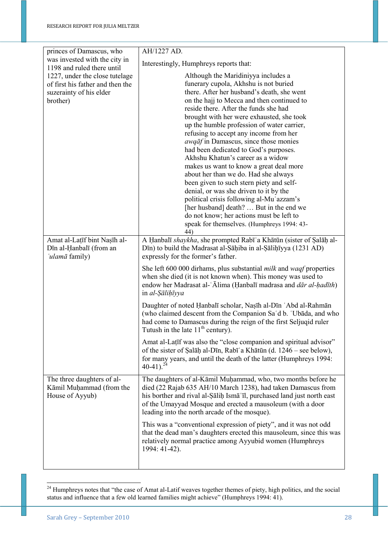| princes of Damascus, who                                     | AH/1227 AD.                                                                       |
|--------------------------------------------------------------|-----------------------------------------------------------------------------------|
| was invested with the city in                                | Interestingly, Humphreys reports that:                                            |
| 1198 and ruled there until<br>1227, under the close tutelage | Although the Maridiniyya includes a                                               |
| of first his father and then the                             | funerary cupola, Akhshu is not buried                                             |
| suzerainty of his elder                                      | there. After her husband's death, she went                                        |
| brother)                                                     | on the hajj to Mecca and then continued to                                        |
|                                                              | reside there. After the funds she had                                             |
|                                                              | brought with her were exhausted, she took                                         |
|                                                              | up the humble profession of water carrier,                                        |
|                                                              | refusing to accept any income from her                                            |
|                                                              | <i>awqāf</i> in Damascus, since those monies                                      |
|                                                              | had been dedicated to God's purposes.                                             |
|                                                              | Akhshu Khatun's career as a widow                                                 |
|                                                              | makes us want to know a great deal more                                           |
|                                                              | about her than we do. Had she always                                              |
|                                                              | been given to such stern piety and self-                                          |
|                                                              | denial, or was she driven to it by the                                            |
|                                                              | political crisis following al-Mu'azzam's                                          |
|                                                              | [her husband] death?  But in the end we                                           |
|                                                              | do not know; her actions must be left to                                          |
|                                                              | speak for themselves. (Humphreys 1994: 43-                                        |
|                                                              | 44)                                                                               |
| Amat al-Latīf bint Nașīh al-                                 | A Hanbalī shaykha, she prompted Rabī'a Khātūn (sister of Salāḥ al-                |
| Dīn al-Ḥanbalī (from an                                      | Dīn) to build the Madrasat al-Sāḥiba in al-Sāliḥīyya (1231 AD)                    |
| 'ulamā family)                                               | expressly for the former's father.                                                |
|                                                              |                                                                                   |
|                                                              | She left 600 000 dirhams, plus substantial <i>milk</i> and <i>waqf</i> properties |
|                                                              | when she died (it is not known when). This money was used to                      |
|                                                              | endow her Madrasat al-'Ālima (Hanbalī madrasa and <i>dār al-hadīth</i> )          |
|                                                              | in al-Sālihīyya                                                                   |
|                                                              | Daughter of noted Hanbalī scholar, Nașīh al-Dīn 'Abd al-Rahmān                    |
|                                                              | (who claimed descent from the Companion Sa'd b. 'Ubada, and who                   |
|                                                              | had come to Damascus during the reign of the first Seljuqid ruler                 |
|                                                              | Tutush in the late $11th$ century).                                               |
|                                                              | Amat al-Latif was also the "close companion and spiritual advisor"                |
|                                                              | of the sister of Salāḥ al-Dīn, Rabī ʿa Khātūn (d. 1246 – see below),              |
|                                                              | for many years, and until the death of the latter (Humphreys 1994:                |
|                                                              | $40-41$ ). <sup>24</sup>                                                          |
|                                                              |                                                                                   |
| The three daughters of al-                                   | The daughters of al-Kāmil Muḥammad, who, two months before he                     |
| Kāmil Muḥammad (from the                                     | died (22 Rajab 635 AH/10 March 1238), had taken Damascus from                     |
| House of Ayyub)                                              | his borther and rival al-Salih Isma II, purchased land just north east            |
|                                                              | of the Umayyad Mosque and erected a mausoleum (with a door                        |
|                                                              | leading into the north arcade of the mosque).                                     |
|                                                              | This was a "conventional expression of piety", and it was not odd                 |
|                                                              | that the dead man's daughters erected this mausoleum, since this was              |
|                                                              | relatively normal practice among Ayyubid women (Humphreys                         |
|                                                              | 1994: 41-42).                                                                     |
|                                                              |                                                                                   |
|                                                              |                                                                                   |

 $24$  Humphreys notes that "the case of Amat al-Latif weaves together themes of piety, high politics, and the social status and influence that a few old learned families might achieve" (Humphreys 1994: 41).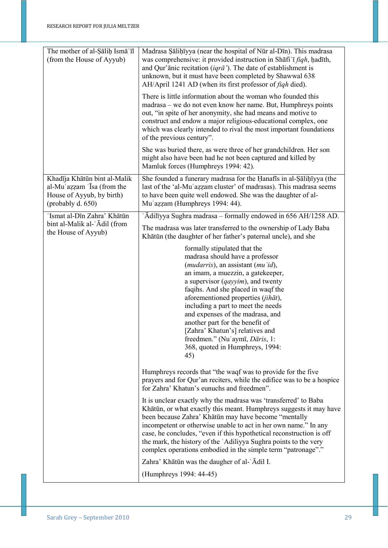| The mother of al-Salih Isma Il<br>(from the House of Ayyub)                                                  | Madrasa Șāliņīvya (near the hospital of Nūr al-Dīn). This madrasa<br>was comprehensive: it provided instruction in Shafi'i figh, hadith,<br>and Qur'anic recitation ( $iqr\bar{a}$ ). The date of establishment is<br>unknown, but it must have been completed by Shawwal 638<br>AH/April 1241 AD (when its first professor of <i>figh</i> died).                                                                                                                                                                            |
|--------------------------------------------------------------------------------------------------------------|------------------------------------------------------------------------------------------------------------------------------------------------------------------------------------------------------------------------------------------------------------------------------------------------------------------------------------------------------------------------------------------------------------------------------------------------------------------------------------------------------------------------------|
|                                                                                                              | There is little information about the woman who founded this<br>madrasa – we do not even know her name. But, Humphreys points<br>out, "in spite of her anonymity, she had means and motive to<br>construct and endow a major religious-educational complex, one<br>which was clearly intended to rival the most important foundations<br>of the previous century".                                                                                                                                                           |
|                                                                                                              | She was buried there, as were three of her grandchildren. Her son<br>might also have been had he not been captured and killed by<br>Mamluk forces (Humphreys 1994: 42).                                                                                                                                                                                                                                                                                                                                                      |
| Khadīja Khātūn bint al-Malik<br>al-Mu'azzam 'Isa (from the<br>House of Ayyub, by birth)<br>(probably d. 650) | She founded a funerary madrasa for the Hanafis in al-Salihiyya (the<br>last of the 'al-Mu'azzam cluster' of madrasas). This madrasa seems<br>to have been quite well endowed. She was the daughter of al-<br>Mu'azzam (Humphreys 1994: 44).                                                                                                                                                                                                                                                                                  |
| 'Ismat al-Dīn Zahra' Khātūn                                                                                  | 'Ādilīyya Sughra madrasa - formally endowed in 656 AH/1258 AD.                                                                                                                                                                                                                                                                                                                                                                                                                                                               |
| bint al-Malik al-'Adil (from<br>the House of Ayyub)                                                          | The madrasa was later transferred to the ownership of Lady Baba<br>Khātūn (the daughter of her father's paternal uncle), and she                                                                                                                                                                                                                                                                                                                                                                                             |
|                                                                                                              | formally stipulated that the<br>madrasa should have a professor<br>( <i>mudarris</i> ), an assistant ( <i>mu 'id</i> ),<br>an imam, a muezzin, a gatekeeper,<br>a supervisor ( <i>qayyim</i> ), and twenty<br>faqihs. And she placed in waqf the<br>aforementioned properties (jihāt),<br>including a part to meet the needs<br>and expenses of the madrasa, and<br>another part for the benefit of<br>[Zahra' Khatun's] relatives and<br>freedmen." (Nu'aymī, Dāris, 1:<br>368, quoted in Humphreys, 1994:<br>45)           |
|                                                                                                              | Humphreys records that "the waqf was to provide for the five"<br>prayers and for Qur'an reciters, while the edifice was to be a hospice<br>for Zahra' Khatun's eunuchs and freedmen".                                                                                                                                                                                                                                                                                                                                        |
|                                                                                                              | It is unclear exactly why the madrasa was 'transferred' to Baba<br>Khātūn, or what exactly this meant. Humphreys suggests it may have<br>been because Zahra' Khātūn may have become "mentally<br>incompetent or otherwise unable to act in her own name." In any<br>case, he concludes, "even if this hypothetical reconstruction is off<br>the mark, the history of the 'Adiliyya Sughra points to the very<br>complex operations embodied in the simple term "patronage"."<br>Zahra' Khātūn was the daugher of al-'Ādil I. |
|                                                                                                              | (Humphreys 1994: 44-45)                                                                                                                                                                                                                                                                                                                                                                                                                                                                                                      |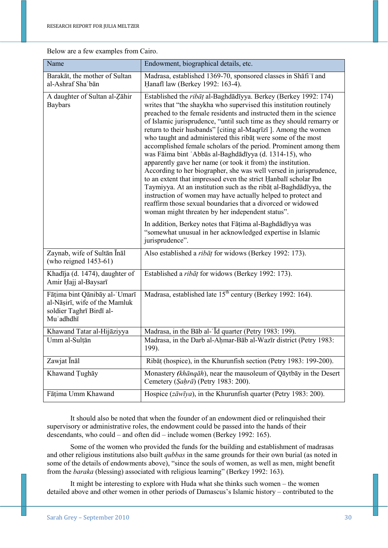Below are a few examples from Cairo.

| Name                                                                                                    | Endowment, biographical details, etc.                                                                                                                                                                                                                                                                                                                                                                                                                                                                                                                                                                                                                                                                                                                                                                                                                                                                                                                                                                                |
|---------------------------------------------------------------------------------------------------------|----------------------------------------------------------------------------------------------------------------------------------------------------------------------------------------------------------------------------------------------------------------------------------------------------------------------------------------------------------------------------------------------------------------------------------------------------------------------------------------------------------------------------------------------------------------------------------------------------------------------------------------------------------------------------------------------------------------------------------------------------------------------------------------------------------------------------------------------------------------------------------------------------------------------------------------------------------------------------------------------------------------------|
| Barakāt, the mother of Sultan<br>al-Ashraf Sha'bān                                                      | Madrasa, established 1369-70, sponsored classes in Shafi'i and<br>Hanafi law (Berkey 1992: 163-4).                                                                                                                                                                                                                                                                                                                                                                                                                                                                                                                                                                                                                                                                                                                                                                                                                                                                                                                   |
| A daughter of Sultan al-Zāhir<br><b>Baybars</b>                                                         | Established the ribāț al-Baghdādīyya. Berkey (Berkey 1992: 174)<br>writes that "the shaykha who supervised this institution routinely<br>preached to the female residents and instructed them in the science<br>of Islamic jurisprudence, "until such time as they should remarry or<br>return to their husbands" [citing al-Maqrīzī]. Among the women<br>who taught and administered this ribat were some of the most<br>accomplished female scholars of the period. Prominent among them<br>was Fāima bint 'Abbās al-Baghdādīyya (d. 1314-15), who<br>apparently gave her name (or took it from) the institution.<br>According to her biographer, she was well versed in jurisprudence,<br>to an extent that impressed even the strict Hanbalī scholar Ibn<br>Taymiyya. At an institution such as the ribat al-Baghdadīyya, the<br>instruction of women may have actually helped to protect and<br>reaffirm those sexual boundaries that a divorced or widowed<br>woman might threaten by her independent status". |
|                                                                                                         | In addition, Berkey notes that Fāṭima al-Baghdādīyya was<br>"somewhat unusual in her acknowledged expertise in Islamic<br>jurisprudence".                                                                                                                                                                                                                                                                                                                                                                                                                                                                                                                                                                                                                                                                                                                                                                                                                                                                            |
| Zaynab, wife of Sultān Ināl<br>(who reigned $1453-61$ )                                                 | Also established a ribāț for widows (Berkey 1992: 173).                                                                                                                                                                                                                                                                                                                                                                                                                                                                                                                                                                                                                                                                                                                                                                                                                                                                                                                                                              |
| Khadīja (d. 1474), daughter of<br>Amir Hajj al-Baysarī                                                  | Established a <i>ribat</i> for widows (Berkey 1992: 173).                                                                                                                                                                                                                                                                                                                                                                                                                                                                                                                                                                                                                                                                                                                                                                                                                                                                                                                                                            |
| Fāțima bint Qānibāy al-'Umarī<br>al-Nāṣirī, wife of the Mamluk<br>soldier Taghrī Birdī al-<br>Mu'adhdhī | Madrasa, established late 15 <sup>th</sup> century (Berkey 1992: 164).                                                                                                                                                                                                                                                                                                                                                                                                                                                                                                                                                                                                                                                                                                                                                                                                                                                                                                                                               |
| Khawand Tatar al-Hijāziyya                                                                              | Madrasa, in the Bab al-'Id quarter (Petry 1983: 199).                                                                                                                                                                                                                                                                                                                                                                                                                                                                                                                                                                                                                                                                                                                                                                                                                                                                                                                                                                |
| Umm al-Sulțān                                                                                           | Madrasa, in the Darb al-Aḥmar-Bāb al-Wazīr district (Petry 1983:<br>199).                                                                                                                                                                                                                                                                                                                                                                                                                                                                                                                                                                                                                                                                                                                                                                                                                                                                                                                                            |
| Zawjat Inal                                                                                             | Ribāt (hospice), in the Khurunfish section (Petry 1983: 199-200).                                                                                                                                                                                                                                                                                                                                                                                                                                                                                                                                                                                                                                                                                                                                                                                                                                                                                                                                                    |
| Khawand Tughāy                                                                                          | Monastery (khāngāh), near the mausoleum of Qāytbāy in the Desert<br>Cemetery (Sahrā) (Petry 1983: 200).                                                                                                                                                                                                                                                                                                                                                                                                                                                                                                                                                                                                                                                                                                                                                                                                                                                                                                              |
| Fāṭima Umm Khawand                                                                                      | Hospice ( $z \bar{a} w \bar{v}$ ), in the Khurunfish quarter (Petry 1983: 200).                                                                                                                                                                                                                                                                                                                                                                                                                                                                                                                                                                                                                                                                                                                                                                                                                                                                                                                                      |

It should also be noted that when the founder of an endowment died or relinquished their supervisory or administrative roles, the endowment could be passed into the hands of their descendants, who could – and often did – include women (Berkey 1992: 165).

 Some of the women who provided the funds for the building and establishment of madrasas and other religious institutions also built *qubbas* in the same grounds for their own burial (as noted in some of the details of endowments above), "since the souls of women, as well as men, might benefit from the *baraka* (blessing) associated with religious learning" (Berkey 1992: 163).

It might be interesting to explore with Huda what she thinks such women – the women detailed above and other women in other periods of Damascus's Islamic history – contributed to the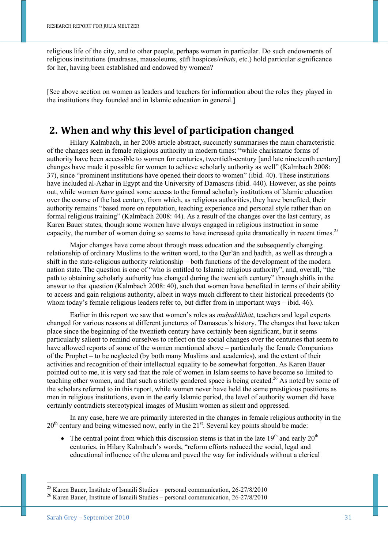religious life of the city, and to other people, perhaps women in particular. Do such endowments of religious institutions (madrasas, mausoleums, ṣūfī hospices/*ribats*, etc.) hold particular significance for her, having been established and endowed by women?

[See above section on women as leaders and teachers for information about the roles they played in the institutions they founded and in Islamic education in general.]

## **2. When and why this level of participation changed**

Hilary Kalmbach, in her 2008 article abstract, succinctly summarises the main characteristic of the changes seen in female religious authority in modern times: "while charismatic forms of authority have been accessible to women for centuries, twentieth-century [and late nineteenth century] changes have made it possible for women to achieve scholarly authority as well" (Kalmbach 2008: 37), since "prominent institutions have opened their doors to women" (ibid. 40). These institutions have included al-Azhar in Egypt and the University of Damascus (ibid. 440). However, as she points out, while women *have* gained some access to the formal scholarly institutions of Islamic education over the course of the last century, from which, as religious authorities, they have benefited, their authority remains "based more on reputation, teaching experience and personal style rather than on formal religious training" (Kalmbach 2008: 44). As a result of the changes over the last century, as Karen Bauer states, though some women have always engaged in religious instruction in some capacity, the number of women doing so seems to have increased quite dramatically in recent times.<sup>25</sup>

Major changes have come about through mass education and the subsequently changing relationship of ordinary Muslims to the written word, to the Our'an and hadīth, as well as through a shift in the state-religious authority relationship – both functions of the development of the modern nation state. The question is one of "who is entitled to Islamic religious authority", and, overall, "the path to obtaining scholarly authority has changed during the twentieth century" through shifts in the answer to that question (Kalmbach 2008: 40), such that women have benefited in terms of their ability to access and gain religious authority, albeit in ways much different to their historical precedents (to whom today's female religious leaders refer to, but differ from in important ways – ibid. 46).

Earlier in this report we saw that women's roles as *muḥaddithāt*, teachers and legal experts changed for various reasons at different junctures of Damascus's history. The changes that have taken place since the beginning of the twentieth century have certainly been significant, but it seems particularly salient to remind ourselves to reflect on the social changes over the centuries that seem to have allowed reports of some of the women mentioned above – particularly the female Companions of the Prophet – to be neglected (by both many Muslims and academics), and the extent of their activities and recognition of their intellectual equality to be somewhat forgotten. As Karen Bauer pointed out to me, it is very sad that the role of women in Islam seems to have become so limited to teaching other women, and that such a strictly gendered space is being created.<sup>26</sup> As noted by some of the scholars referred to in this report, while women never have held the same prestigious positions as men in religious institutions, even in the early Islamic period, the level of authority women did have certainly contradicts stereotypical images of Muslim women as silent and oppressed.

In any case, here we are primarily interested in the changes in female religious authority in the  $20<sup>th</sup>$  century and being witnessed now, early in the  $21<sup>st</sup>$ . Several key points should be made:

The central point from which this discussion stems is that in the late  $19<sup>th</sup>$  and early  $20<sup>th</sup>$ centuries, in Hilary Kalmbach's words, "reform efforts reduced the social, legal and educational influence of the ulema and paved the way for individuals without a clerical

 $^{25}$  Karen Bauer, Institute of Ismaili Studies – personal communication, 26-27/8/2010

<sup>26</sup> Karen Bauer, Institute of Ismaili Studies – personal communication, 26-27/8/2010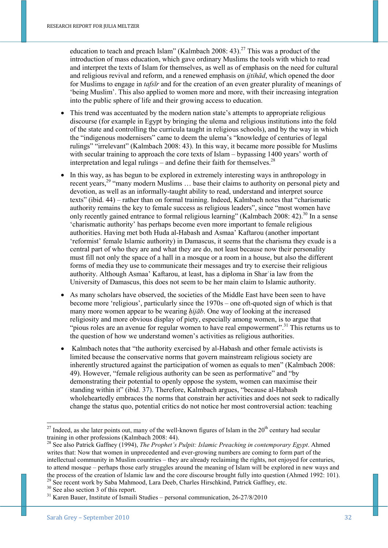education to teach and preach Islam" (Kalmbach 2008: 43).<sup>27</sup> This was a product of the introduction of mass education, which gave ordinary Muslims the tools with which to read and interpret the texts of Islam for themselves, as well as of emphasis on the need for cultural and religious revival and reform, and a renewed emphasis on *ijtihād*, which opened the door for Muslims to engage in *tafsīr* and for the creation of an even greater plurality of meanings of 'being Muslim'. This also applied to women more and more, with their increasing integration into the public sphere of life and their growing access to education.

- This trend was accentuated by the modern nation state's attempts to appropriate religious discourse (for example in Egypt by bringing the ulema and religious institutions into the fold of the state and controlling the curricula taught in religious schools), and by the way in which the "indigenous modernisers" came to deem the ulema's "knowledge of centuries of legal rulings" "irrelevant" (Kalmbach 2008: 43). In this way, it became more possible for Muslims with secular training to approach the core texts of Islam – bypassing 1400 years' worth of interpretation and legal rulings – and define their faith for themselves. $^{28}$
- In this way, as has begun to be explored in extremely interesting ways in anthropology in recent years,<sup>29</sup> "many modern Muslims ... base their claims to authority on personal piety and devotion, as well as an informally-taught ability to read, understand and interpret source texts" (ibid. 44) – rather than on formal training. Indeed, Kalmbach notes that "charismatic authority remains the key to female success as religious leaders", since "most women have only recently gained entrance to formal religious learning" (Kalmbach 2008: 42).<sup>30</sup> In a sense 'charismatic authority' has perhaps become even more important to female religious authorities. Having met both Huda al-Habash and Asmaa' Kaftarou (another important 'reformist' female Islamic authority) in Damascus, it seems that the charisma they exude is a central part of who they are and what they are do, not least because now their personality must fill not only the space of a hall in a mosque or a room in a house, but also the different forms of media they use to communicate their messages and try to exercise their religious authority. Although Asmaa' Kaftarou, at least, has a diploma in Sharʿia law from the University of Damascus, this does not seem to be her main claim to Islamic authority.
- As many scholars have observed, the societies of the Middle East have been seen to have become more 'religious', particularly since the 1970s – one oft-quoted sign of which is that many more women appear to be wearing *ḥijāb*. One way of looking at the increased religiosity and more obvious display of piety, especially among women, is to argue that "pious roles are an avenue for regular women to have real empowerment".<sup>31</sup> This returns us to the question of how we understand women's activities as religious authorities.
- Kalmbach notes that "the authority exercised by al-Habash and other female activists is limited because the conservative norms that govern mainstream religious society are inherently structured against the participation of women as equals to men" (Kalmbach 2008: 49). However, "female religious authority can be seen as performative" and "by demonstrating their potential to openly oppose the system, women can maximise their standing within it" (ibid. 37). Therefore, Kalmbach argues, "because al-Habash wholeheartedly embraces the norms that constrain her activities and does not seek to radically change the status quo, potential critics do not notice her most controversial action: teaching

1

 $^{27}$  Indeed, as she later points out, many of the well-known figures of Islam in the  $20<sup>th</sup>$  century had secular training in other professions (Kalmbach 2008: 44).

<sup>&</sup>lt;sup>28</sup> See also Patrick Gaffney (1994), *The Prophet's Pulpit: Islamic Preaching in contemporary Egypt*. Ahmed writes that: Now that women in unprecedented and ever-growing numbers are coming to form part of the intellectual community in Muslim countries – they are already reclaiming the rights, not enjoyed for centuries, to attend mosque – perhaps those early struggles around the meaning of Islam will be explored in new ways and the process of the creation of Islamic law and the core discourse brought fully into question (Ahmed 1992: 101).

<sup>&</sup>lt;sup>29</sup> See recent work by Saba Mahmood, Lara Deeb, Charles Hirschkind, Patrick Gaffney, etc.

<sup>&</sup>lt;sup>30</sup> See also section 3 of this report.

<sup>31</sup> Karen Bauer, Institute of Ismaili Studies – personal communication, 26-27/8/2010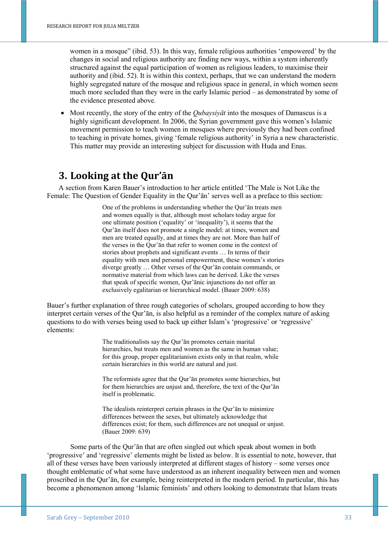women in a mosque" (ibid. 53). In this way, female religious authorities 'empowered' by the changes in social and religious authority are finding new ways, within a system inherently structured against the equal participation of women as religious leaders, to maximise their authority and (ibid. 52). It is within this context, perhaps, that we can understand the modern highly segregated nature of the mosque and religious space in general, in which women seem much more secluded than they were in the early Islamic period – as demonstrated by some of the evidence presented above.

• Most recently, the story of the entry of the *Qubaysiyāt* into the mosques of Damascus is a highly significant development. In 2006, the Syrian government gave this women's Islamic movement permission to teach women in mosques where previously they had been confined to teaching in private homes, giving 'female religious authority' in Syria a new characteristic. This matter may provide an interesting subject for discussion with Huda and Enas.

## **3. Looking at the Qur'ān**

A section from Karen Bauer's introduction to her article entitled 'The Male is Not Like the Female: The Question of Gender Equality in the Qur'ān' serves well as a preface to this section:

> One of the problems in understanding whether the Qur'ān treats men and women equally is that, although most scholars today argue for one ultimate position ('equality' or 'inequality'), it seems that the Qur'ān itself does not promote a single model: at times, women and men are treated equally, and at times they are not. More than half of the verses in the Qur'ān that refer to women come in the context of stories about prophets and significant events … In terms of their equality with men and personal empowerment, these women's stories diverge greatly … Other verses of the Qur'ān contain commands, or normative material from which laws can be derived. Like the verses that speak of specific women, Qur'ānic injunctions do not offer an exclusively egalitarian or hierarchical model. (Bauer 2009: 638)

Bauer's further explanation of three rough categories of scholars, grouped according to how they interpret certain verses of the Qur'ān, is also helpful as a reminder of the complex nature of asking questions to do with verses being used to back up either Islam's 'progressive' or 'regressive' elements:

> The traditionalists say the Qur'ān promotes certain marital hierarchies, but treats men and women as the same in human value; for this group, proper egalitarianism exists only in that realm, while certain hierarchies in this world are natural and just.

> The reformists agree that the Qur'ān promotes some hierarchies, but for them hierarchies are unjust and, therefore, the text of the Qur'ān itself is problematic.

The idealists reinterpret certain phrases in the Qur'ān to minimize differences between the sexes, but ultimately acknowledge that differences exist; for them, such differences are not unequal or unjust. (Bauer 2009: 639)

Some parts of the Qur'ān that are often singled out which speak about women in both 'progressive' and 'regressive' elements might be listed as below. It is essential to note, however, that all of these verses have been variously interpreted at different stages of history – some verses once thought emblematic of what some have understood as an inherent inequality between men and women proscribed in the Qur'ān, for example, being reinterpreted in the modern period. In particular, this has become a phenomenon among 'Islamic feminists' and others looking to demonstrate that Islam treats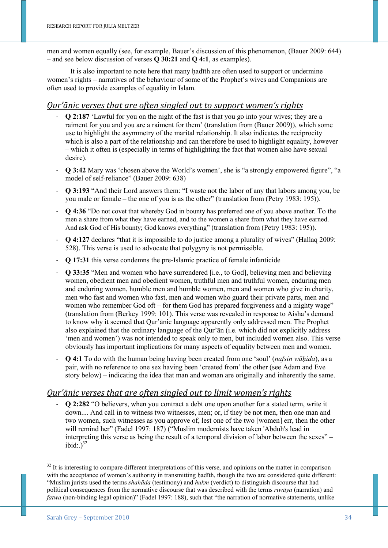men and women equally (see, for example, Bauer's discussion of this phenomenon, (Bauer 2009: 644) – and see below discussion of verses **Q 30:21** and **Q 4:1**, as examples).

It is also important to note here that many hadīth are often used to support or undermine women's rights – narratives of the behaviour of some of the Prophet's wives and Companions are often used to provide examples of equality in Islam.

#### *Qur'ānic verses that are often singled out to support women's rights*

- **Q 2:187** 'Lawful for you on the night of the fast is that you go into your wives; they are a raiment for you and you are a raiment for them' (translation from (Bauer 2009)), which some use to highlight the asymmetry of the marital relationship. It also indicates the reciprocity which is also a part of the relationship and can therefore be used to highlight equality, however – which it often is (especially in terms of highlighting the fact that women also have sexual desire).
- **Q 3:42** Mary was 'chosen above the World's women', she is "a strongly empowered figure", "a model of self-reliance" (Bauer 2009: 638)
- **Q 3:193** "And their Lord answers them: "I waste not the labor of any that labors among you, be you male or female – the one of you is as the other" (translation from (Petry 1983: 195)).
- **Q 4:36** "Do not covet that whereby God in bounty has preferred one of you above another. To the men a share from what they have earned, and to the women a share from what they have earned. And ask God of His bounty; God knows everything" (translation from (Petry 1983: 195)).
- **Q 4:127** declares "that it is impossible to do justice among a plurality of wives" (Hallaq 2009: 528). This verse is used to advocate that polygyny is not permissible.
- **Q 17:31** this verse condemns the pre-Islamic practice of female infanticide
- **Q 33:35** "Men and women who have surrendered [i.e., to God], believing men and believing women, obedient men and obedient women, truthful men and truthful women, enduring men and enduring women, humble men and humble women, men and women who give in charity, men who fast and women who fast, men and women who guard their private parts, men and women who remember God oft – for them God has prepared forgiveness and a mighty wage" (translation from (Berkey 1999: 101). This verse was revealed in response to Aisha's demand to know why it seemed that Qur'ānic language apparently only addressed men. The Prophet also explained that the ordinary language of the Qur'ān (i.e. which did not explicitly address 'men and women') was not intended to speak only to men, but included women also. This verse obviously has important implications for many aspects of equality between men and women.
- **Q 4:1** To do with the human being having been created from one 'soul' (*nafsin wāḥida*), as a pair, with no reference to one sex having been 'created from' the other (see Adam and Eve story below) – indicating the idea that man and woman are originally and inherently the same.

#### *Qur'ānic verses that are often singled out to limit women's rights*

- **Q 2:282** "O believers, when you contract a debt one upon another for a stated term, write it down.... And call in to witness two witnesses, men; or, if they be not men, then one man and two women, such witnesses as you approve of, lest one of the two [women] err, then the other will remind her" (Fadel 1997: 187) ("Muslim modernists have taken 'Abduh's lead in interpreting this verse as being the result of a temporal division of labor between the sexes" –  $\text{ibid:}$ )<sup>32</sup>

 $32$  It is interesting to compare different interpretations of this verse, and opinions on the matter in comparison with the acceptance of women's authority in transmitting hadīth, though the two are considered quite different: "Muslim jurists used the terms *shahāda* (testimony) and *ḥukm* (verdict) to distinguish discourse that had political consequences from the normative discourse that was described with the terms *riwāya* (narration) and *fatwa* (non-binding legal opinion)" (Fadel 1997: 188), such that "the narration of normative statements, unlike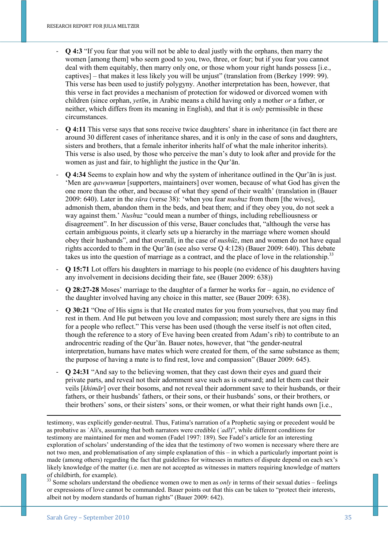- **Q 4:3** "If you fear that you will not be able to deal justly with the orphans, then marry the women [among them] who seem good to you, two, three, or four; but if you fear you cannot deal with them equitably, then marry only one, or those whom your right hands possess [i.e., captives] – that makes it less likely you will be unjust" (translation from (Berkey 1999: 99). This verse has been used to justify polygyny. Another interpretation has been, however, that this verse in fact provides a mechanism of protection for widowed or divorced women with children (since orphan, *yetīm*, in Arabic means a child having only a mother *or* a father, or neither, which differs from its meaning in English), and that it is *only* permissible in these circumstances.
- **Q 4:11** This verse says that sons receive twice daughters' share in inheritance (in fact there are around 30 different cases of inheritance shares, and it is only in the case of sons and daughters, sisters and brothers, that a female inheritor inherits half of what the male inheritor inherits). This verse is also used, by those who perceive the man's duty to look after and provide for the women as just and fair, to highlight the justice in the Our'an.
- **Q 4:34** Seems to explain how and why the system of inheritance outlined in the Qur'ān is just. 'Men are *qaww*a*m*u*n* [supporters, maintainers] over women, because of what God has given the one more than the other, and because of what they spend of their wealth' (translation in (Bauer 2009: 640). Later in the *sūra* (verse 38): 'when you fear *nush*u*z* from them [the wives], admonish them, abandon them in the beds, and beat them; and if they obey you, do not seek a way against them.' *Nush*u*z* "could mean a number of things, including rebelliousness or disagreement". In her discussion of this verse, Bauer concludes that, "although the verse has certain ambiguous points, it clearly sets up a hierarchy in the marriage where women should obey their husbands", and that overall, in the case of *nushūz*, men and women do not have equal rights accorded to them in the Qur'ān (see also verse Q 4:128) (Bauer 2009: 640). This debate takes us into the question of marriage as a contract, and the place of love in the relationship.<sup>33</sup>
- **Q 15:71** Lot offers his daughters in marriage to his people (no evidence of his daughters having any involvement in decisions deciding their fate, see (Bauer 2009: 638))
- **Q 28:27-28** Moses' marriage to the daughter of a farmer he works for again, no evidence of the daughter involved having any choice in this matter, see (Bauer 2009: 638).
- **Q 30:21** "One of His signs is that He created mates for you from yourselves, that you may find rest in them. And He put between you love and compassion; most surely there are signs in this for a people who reflect." This verse has been used (though the verse itself is not often cited, though the reference to a story of Eve having been created from Adam's rib) to contribute to an androcentric reading of the Qur'ān. Bauer notes, however, that "the gender-neutral interpretation, humans have mates which were created for them, of the same substance as them; the purpose of having a mate is to find rest, love and compassion" (Bauer 2009: 645).
- **Q 24:31** "And say to the believing women, that they cast down their eyes and guard their private parts, and reveal not their adornment save such as is outward; and let them cast their veils [*khimār*] over their bosoms, and not reveal their adornment save to their husbands, or their fathers, or their husbands' fathers, or their sons, or their husbands' sons, or their brothers, or their brothers' sons, or their sisters' sons, or their women, or what their right hands own [i.e.,

testimony, was explicitly gender-neutral. Thus, Fatima's narration of a Prophetic saying or precedent would be as probative as ʿAli's, assuming that both narrators were credible (*ʿadl*)", while different conditions for testimony are maintained for men and women (Fadel 1997: 189). See Fadel's article for an interesting exploration of scholars' understanding of the idea that the testimony of two women is necessary where there are not two men, and problematisation of any simple explanation of this – in which a particularly important point is made (among others) regarding the fact that guidelines for witnesses in matters of dispute depend on each sex's likely knowledge of the matter (i.e. men are not accepted as witnesses in matters requiring knowledge of matters of childbirth, for example).

<sup>33</sup> Some scholars understand the obedience women owe to men as *only* in terms of their sexual duties – feelings or expressions of love cannot be commanded. Bauer points out that this can be taken to "protect their interests, albeit not by modern standards of human rights" (Bauer 2009: 642).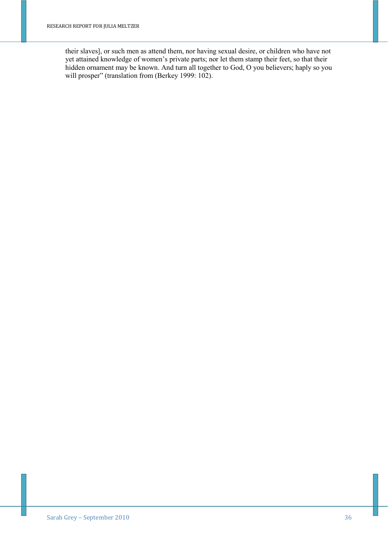their slaves], or such men as attend them, nor having sexual desire, or children who have not yet attained knowledge of women's private parts; nor let them stamp their feet, so that their hidden ornament may be known. And turn all together to God, O you believers; haply so you will prosper" (translation from (Berkey 1999: 102).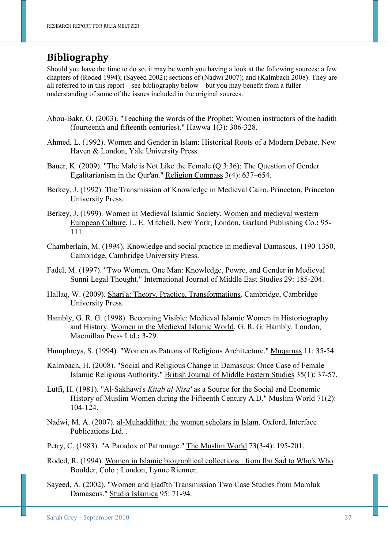# **Bibliography**

Should you have the time to do so, it may be worth you having a look at the following sources: a few chapters of (Roded 1994); (Sayeed 2002); sections of (Nadwi 2007); and (Kalmbach 2008). They are all referred to in this report – see bibliography below – but you may benefit from a fuller understanding of some of the issues included in the original sources.

- Abou-Bakr, O. (2003). "Teaching the words of the Prophet: Women instructors of the hadith (fourteenth and fifteenth centuries)." Hawwa 1(3): 306-328.
- Ahmed, L. (1992). Women and Gender in Islam: Historical Roots of a Modern Debate. New Haven & London, Yale University Press.
- Bauer, K. (2009). "The Male is Not Like the Female (Q 3:36): The Question of Gender Egalitarianism in the Qur'ān." Religion Compass 3(4): 637–654.
- Berkey, J. (1992). The Transmission of Knowledge in Medieval Cairo. Princeton, Princeton University Press.
- Berkey, J. (1999). Women in Medieval Islamic Society. Women and medieval western European Culture. L. E. Mitchell. New York; London, Garland Publishing Co.**:** 95- 111.
- Chamberlain, M. (1994). Knowledge and social practice in medieval Damascus, 1190-1350. Cambridge, Cambridge University Press.
- Fadel, M. (1997). "Two Women, One Man: Knowledge, Powre, and Gender in Medieval Sunni Legal Thought." International Journal of Middle East Studies 29: 185-204.
- Hallaq, W. (2009). Shari'a: Theory, Practice, Transformations. Cambridge, Cambridge University Press.
- Hambly, G. R. G. (1998). Becoming Visible: Medieval Islamic Women in Historiography and History. Women in the Medieval Islamic World. G. R. G. Hambly. London, Macmillan Press Ltd.**:** 3-29.

Humphreys, S. (1994). "Women as Patrons of Religious Architecture." Muqarnas 11: 35-54.

- Kalmbach, H. (2008). "Social and Religious Change in Damascus: Once Case of Female Islamic Religious Authority." British Journal of Middle Eastern Studies 35(1): 37-57.
- Lutfi, H. (1981). "Al-Sakhawi's *Kitab al-Nisa'* as a Source for the Social and Economic History of Muslim Women during the Fifteenth Century A.D." Muslim World 71(2): 104-124.
- Nadwi, M. A. (2007). al-Muhaddithat: the women scholars in Islam. Oxford, Interface Publications Ltd. .
- Petry, C. (1983). "A Paradox of Patronage." The Muslim World 73(3-4): 195-201.
- Roded, R. (1994). Women in Islamic biographical collections : from Ibn Sad̀ to Who's Who. Boulder, Colo ; London, Lynne Rienner.
- Sayeed, A. (2002). "Women and Ḥadīth Transmission Two Case Studies from Mamluk Damascus." Studia Islamica 95: 71-94.